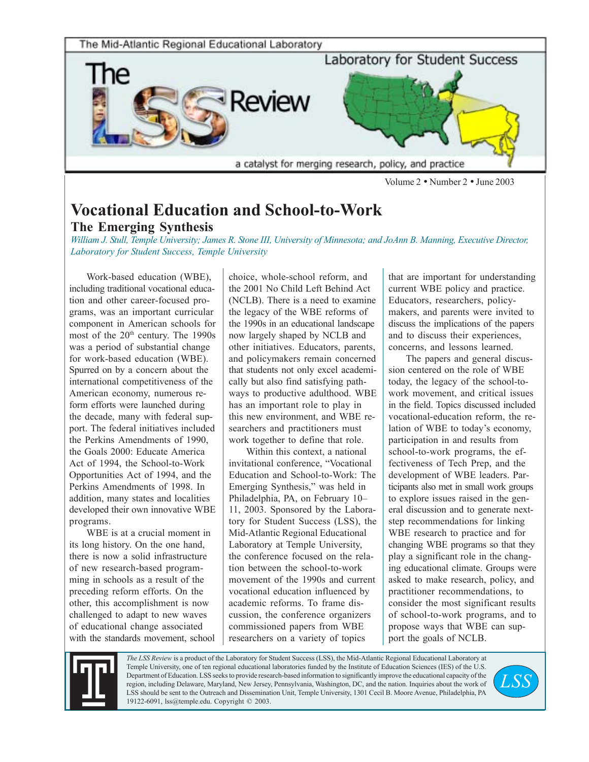

Volume 2 • Number 2 • June 2003

## **Vocational Education and School-to-Work The Emerging Synthesis**

*William J. Stull, Temple University; James R. Stone III, University of Minnesota; and JoAnn B. Manning, Executive Director, Laboratory for Student Success, Temple University*

Work-based education (WBE), including traditional vocational education and other career-focused programs, was an important curricular component in American schools for most of the 20<sup>th</sup> century. The 1990s was a period of substantial change for work-based education (WBE). Spurred on by a concern about the international competitiveness of the American economy, numerous reform efforts were launched during the decade, many with federal support. The federal initiatives included the Perkins Amendments of 1990, the Goals 2000: Educate America Act of 1994, the School-to-Work Opportunities Act of 1994, and the Perkins Amendments of 1998. In addition, many states and localities developed their own innovative WBE programs.

WBE is at a crucial moment in its long history. On the one hand, there is now a solid infrastructure of new research-based programming in schools as a result of the preceding reform efforts. On the other, this accomplishment is now challenged to adapt to new waves of educational change associated with the standards movement, school

choice, whole-school reform, and the 2001 No Child Left Behind Act (NCLB). There is a need to examine the legacy of the WBE reforms of the 1990s in an educational landscape now largely shaped by NCLB and other initiatives. Educators, parents, and policymakers remain concerned that students not only excel academically but also find satisfying pathways to productive adulthood. WBE has an important role to play in this new environment, and WBE researchers and practitioners must work together to define that role.

Within this context, a national invitational conference, "Vocational Education and School-to-Work: The Emerging Synthesis," was held in Philadelphia, PA, on February 10– 11, 2003. Sponsored by the Laboratory for Student Success (LSS), the Mid-Atlantic Regional Educational Laboratory at Temple University, the conference focused on the relation between the school-to-work movement of the 1990s and current vocational education influenced by academic reforms. To frame discussion, the conference organizers commissioned papers from WBE researchers on a variety of topics

that are important for understanding current WBE policy and practice. Educators, researchers, policymakers, and parents were invited to discuss the implications of the papers and to discuss their experiences, concerns, and lessons learned.

The papers and general discussion centered on the role of WBE today, the legacy of the school-towork movement, and critical issues in the field. Topics discussed included vocational-education reform, the relation of WBE to today's economy, participation in and results from school-to-work programs, the effectiveness of Tech Prep, and the development of WBE leaders. Participants also met in small work groups to explore issues raised in the general discussion and to generate nextstep recommendations for linking WBE research to practice and for changing WBE programs so that they play a significant role in the changing educational climate. Groups were asked to make research, policy, and practitioner recommendations, to consider the most significant results of school-to-work programs, and to propose ways that WBE can support the goals of NCLB.



*The LSS Review* is a product of the Laboratory for Student Success (LSS), the Mid-Atlantic Regional Educational Laboratory at Temple University, one of ten regional educational laboratories funded by the Institute of Education Sciences (IES) of the U.S. Department of Education. LSS seeks to provide research-based information to significantly improve the educational capacity of the region, including Delaware, Maryland, New Jersey, Pennsylvania, Washington, DC, and the nation. Inquiries about the work of LSS should be sent to the Outreach and Dissemination Unit, Temple University, 1301 Cecil B. Moore Avenue, Philadelphia, PA 19122-6091, lss@temple.edu. Copyright © 2003.

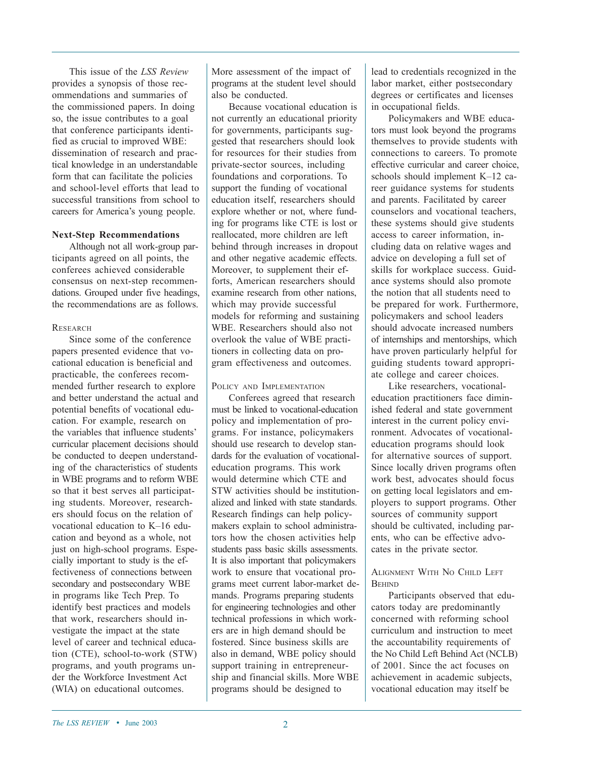This issue of the *LSS Review* provides a synopsis of those recommendations and summaries of the commissioned papers. In doing so, the issue contributes to a goal that conference participants identified as crucial to improved WBE: dissemination of research and practical knowledge in an understandable form that can facilitate the policies and school-level efforts that lead to successful transitions from school to careers for America's young people.

#### **Next-Step Recommendations**

Although not all work-group participants agreed on all points, the conferees achieved considerable consensus on next-step recommendations. Grouped under five headings, the recommendations are as follows.

#### **RESEARCH**

Since some of the conference papers presented evidence that vocational education is beneficial and practicable, the conferees recommended further research to explore and better understand the actual and potential benefits of vocational education. For example, research on the variables that influence students' curricular placement decisions should be conducted to deepen understanding of the characteristics of students in WBE programs and to reform WBE so that it best serves all participating students. Moreover, researchers should focus on the relation of vocational education to K–16 education and beyond as a whole, not just on high-school programs. Especially important to study is the effectiveness of connections between secondary and postsecondary WBE in programs like Tech Prep. To identify best practices and models that work, researchers should investigate the impact at the state level of career and technical education (CTE), school-to-work (STW) programs, and youth programs under the Workforce Investment Act (WIA) on educational outcomes.

More assessment of the impact of programs at the student level should also be conducted.

Because vocational education is not currently an educational priority for governments, participants suggested that researchers should look for resources for their studies from private-sector sources, including foundations and corporations. To support the funding of vocational education itself, researchers should explore whether or not, where funding for programs like CTE is lost or reallocated, more children are left behind through increases in dropout and other negative academic effects. Moreover, to supplement their efforts, American researchers should examine research from other nations, which may provide successful models for reforming and sustaining WBE. Researchers should also not overlook the value of WBE practitioners in collecting data on program effectiveness and outcomes.

#### POLICY AND IMPLEMENTATION

Conferees agreed that research must be linked to vocational-education policy and implementation of programs. For instance, policymakers should use research to develop standards for the evaluation of vocationaleducation programs. This work would determine which CTE and STW activities should be institutionalized and linked with state standards. Research findings can help policymakers explain to school administrators how the chosen activities help students pass basic skills assessments. It is also important that policymakers work to ensure that vocational programs meet current labor-market demands. Programs preparing students for engineering technologies and other technical professions in which workers are in high demand should be fostered. Since business skills are also in demand, WBE policy should support training in entrepreneurship and financial skills. More WBE programs should be designed to

lead to credentials recognized in the labor market, either postsecondary degrees or certificates and licenses in occupational fields.

Policymakers and WBE educators must look beyond the programs themselves to provide students with connections to careers. To promote effective curricular and career choice, schools should implement K–12 career guidance systems for students and parents. Facilitated by career counselors and vocational teachers, these systems should give students access to career information, including data on relative wages and advice on developing a full set of skills for workplace success. Guidance systems should also promote the notion that all students need to be prepared for work. Furthermore, policymakers and school leaders should advocate increased numbers of internships and mentorships, which have proven particularly helpful for guiding students toward appropriate college and career choices.

Like researchers, vocationaleducation practitioners face diminished federal and state government interest in the current policy environment. Advocates of vocationaleducation programs should look for alternative sources of support. Since locally driven programs often work best, advocates should focus on getting local legislators and employers to support programs. Other sources of community support should be cultivated, including parents, who can be effective advocates in the private sector.

#### ALIGNMENT WITH NO CHILD LEFT **BEHIND**

Participants observed that educators today are predominantly concerned with reforming school curriculum and instruction to meet the accountability requirements of the No Child Left Behind Act (NCLB) of 2001. Since the act focuses on achievement in academic subjects, vocational education may itself be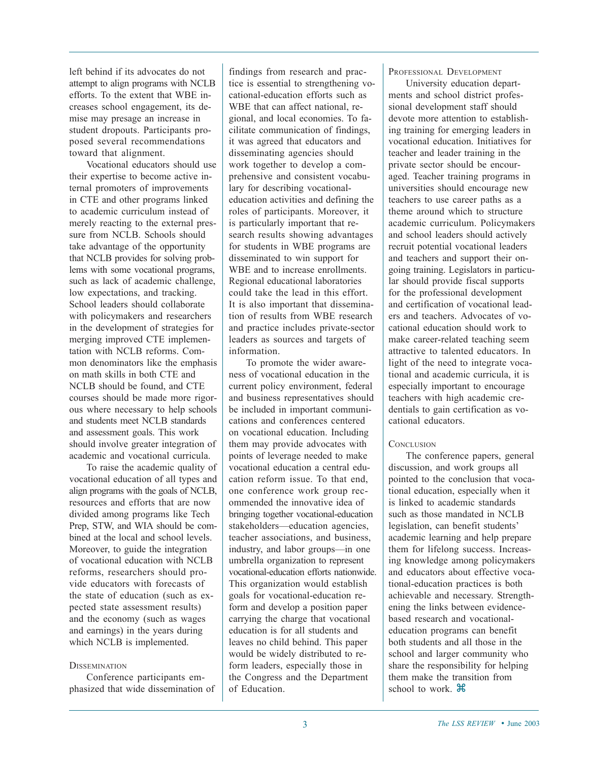left behind if its advocates do not attempt to align programs with NCLB efforts. To the extent that WBE increases school engagement, its demise may presage an increase in student dropouts. Participants proposed several recommendations toward that alignment.

Vocational educators should use their expertise to become active internal promoters of improvements in CTE and other programs linked to academic curriculum instead of merely reacting to the external pressure from NCLB. Schools should take advantage of the opportunity that NCLB provides for solving problems with some vocational programs, such as lack of academic challenge, low expectations, and tracking. School leaders should collaborate with policymakers and researchers in the development of strategies for merging improved CTE implementation with NCLB reforms. Common denominators like the emphasis on math skills in both CTE and NCLB should be found, and CTE courses should be made more rigorous where necessary to help schools and students meet NCLB standards and assessment goals. This work should involve greater integration of academic and vocational curricula.

To raise the academic quality of vocational education of all types and align programs with the goals of NCLB, resources and efforts that are now divided among programs like Tech Prep, STW, and WIA should be combined at the local and school levels. Moreover, to guide the integration of vocational education with NCLB reforms, researchers should provide educators with forecasts of the state of education (such as expected state assessment results) and the economy (such as wages and earnings) in the years during which NCLB is implemented.

#### **DISSEMINATION**

Conference participants emphasized that wide dissemination of findings from research and practice is essential to strengthening vocational-education efforts such as WBE that can affect national, regional, and local economies. To facilitate communication of findings, it was agreed that educators and disseminating agencies should work together to develop a comprehensive and consistent vocabulary for describing vocationaleducation activities and defining the roles of participants. Moreover, it is particularly important that research results showing advantages for students in WBE programs are disseminated to win support for WBE and to increase enrollments. Regional educational laboratories could take the lead in this effort. It is also important that dissemination of results from WBE research and practice includes private-sector leaders as sources and targets of information.

To promote the wider awareness of vocational education in the current policy environment, federal and business representatives should be included in important communications and conferences centered on vocational education. Including them may provide advocates with points of leverage needed to make vocational education a central education reform issue. To that end, one conference work group recommended the innovative idea of bringing together vocational-education stakeholders—education agencies, teacher associations, and business, industry, and labor groups—in one umbrella organization to represent vocational-education efforts nationwide. This organization would establish goals for vocational-education reform and develop a position paper carrying the charge that vocational education is for all students and leaves no child behind. This paper would be widely distributed to reform leaders, especially those in the Congress and the Department of Education.

#### PROFESSIONAL DEVELOPMENT

University education departments and school district professional development staff should devote more attention to establishing training for emerging leaders in vocational education. Initiatives for teacher and leader training in the private sector should be encouraged. Teacher training programs in universities should encourage new teachers to use career paths as a theme around which to structure academic curriculum. Policymakers and school leaders should actively recruit potential vocational leaders and teachers and support their ongoing training. Legislators in particular should provide fiscal supports for the professional development and certification of vocational leaders and teachers. Advocates of vocational education should work to make career-related teaching seem attractive to talented educators. In light of the need to integrate vocational and academic curricula, it is especially important to encourage teachers with high academic credentials to gain certification as vocational educators.

#### **CONCLUSION**

The conference papers, general discussion, and work groups all pointed to the conclusion that vocational education, especially when it is linked to academic standards such as those mandated in NCLB legislation, can benefit students' academic learning and help prepare them for lifelong success. Increasing knowledge among policymakers and educators about effective vocational-education practices is both achievable and necessary. Strengthening the links between evidencebased research and vocationaleducation programs can benefit both students and all those in the school and larger community who share the responsibility for helping them make the transition from school to work.  $\mathcal{H}$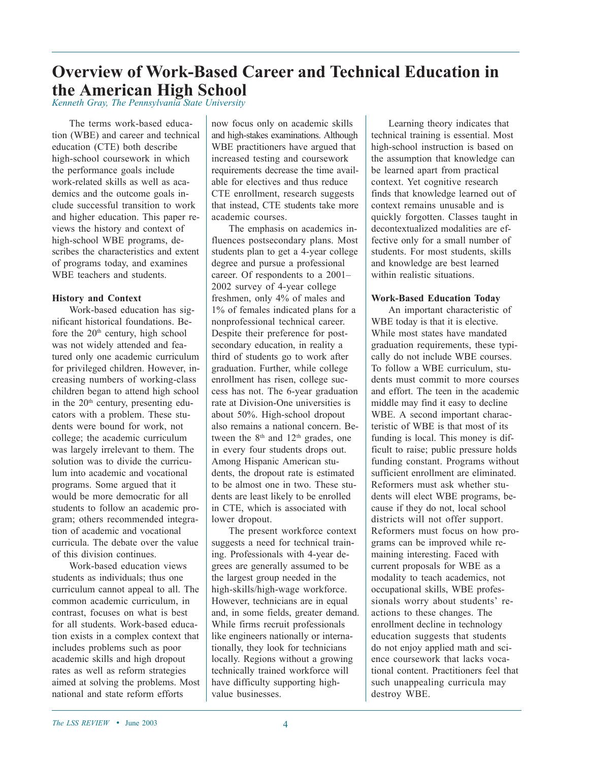## **Overview of Work-Based Career and Technical Education in the American High School**

*Kenneth Gray, The Pennsylvania State University*

The terms work-based education (WBE) and career and technical education (CTE) both describe high-school coursework in which the performance goals include work-related skills as well as academics and the outcome goals include successful transition to work and higher education. This paper reviews the history and context of high-school WBE programs, describes the characteristics and extent of programs today, and examines WBE teachers and students.

#### **History and Context**

Work-based education has significant historical foundations. Before the  $20<sup>th</sup>$  century, high school was not widely attended and featured only one academic curriculum for privileged children. However, increasing numbers of working-class children began to attend high school in the  $20<sup>th</sup>$  century, presenting educators with a problem. These students were bound for work, not college; the academic curriculum was largely irrelevant to them. The solution was to divide the curriculum into academic and vocational programs. Some argued that it would be more democratic for all students to follow an academic program; others recommended integration of academic and vocational curricula. The debate over the value of this division continues.

Work-based education views students as individuals; thus one curriculum cannot appeal to all. The common academic curriculum, in contrast, focuses on what is best for all students. Work-based education exists in a complex context that includes problems such as poor academic skills and high dropout rates as well as reform strategies aimed at solving the problems. Most national and state reform efforts

now focus only on academic skills and high-stakes examinations. Although WBE practitioners have argued that increased testing and coursework requirements decrease the time available for electives and thus reduce CTE enrollment, research suggests that instead, CTE students take more academic courses.

The emphasis on academics influences postsecondary plans. Most students plan to get a 4-year college degree and pursue a professional career. Of respondents to a 2001– 2002 survey of 4-year college freshmen, only 4% of males and 1% of females indicated plans for a nonprofessional technical career. Despite their preference for postsecondary education, in reality a third of students go to work after graduation. Further, while college enrollment has risen, college success has not. The 6-year graduation rate at Division-One universities is about 50%. High-school dropout also remains a national concern. Between the 8<sup>th</sup> and 12<sup>th</sup> grades, one in every four students drops out. Among Hispanic American students, the dropout rate is estimated to be almost one in two. These students are least likely to be enrolled in CTE, which is associated with lower dropout.

The present workforce context suggests a need for technical training. Professionals with 4-year degrees are generally assumed to be the largest group needed in the high-skills/high-wage workforce. However, technicians are in equal and, in some fields, greater demand. While firms recruit professionals like engineers nationally or internationally, they look for technicians locally. Regions without a growing technically trained workforce will have difficulty supporting highvalue businesses.

Learning theory indicates that technical training is essential. Most high-school instruction is based on the assumption that knowledge can be learned apart from practical context. Yet cognitive research finds that knowledge learned out of context remains unusable and is quickly forgotten. Classes taught in decontextualized modalities are effective only for a small number of students. For most students, skills and knowledge are best learned within realistic situations.

#### **Work-Based Education Today**

An important characteristic of WBE today is that it is elective. While most states have mandated graduation requirements, these typically do not include WBE courses. To follow a WBE curriculum, students must commit to more courses and effort. The teen in the academic middle may find it easy to decline WBE. A second important characteristic of WBE is that most of its funding is local. This money is difficult to raise; public pressure holds funding constant. Programs without sufficient enrollment are eliminated. Reformers must ask whether students will elect WBE programs, because if they do not, local school districts will not offer support. Reformers must focus on how programs can be improved while remaining interesting. Faced with current proposals for WBE as a modality to teach academics, not occupational skills, WBE professionals worry about students' reactions to these changes. The enrollment decline in technology education suggests that students do not enjoy applied math and science coursework that lacks vocational content. Practitioners feel that such unappealing curricula may destroy WBE.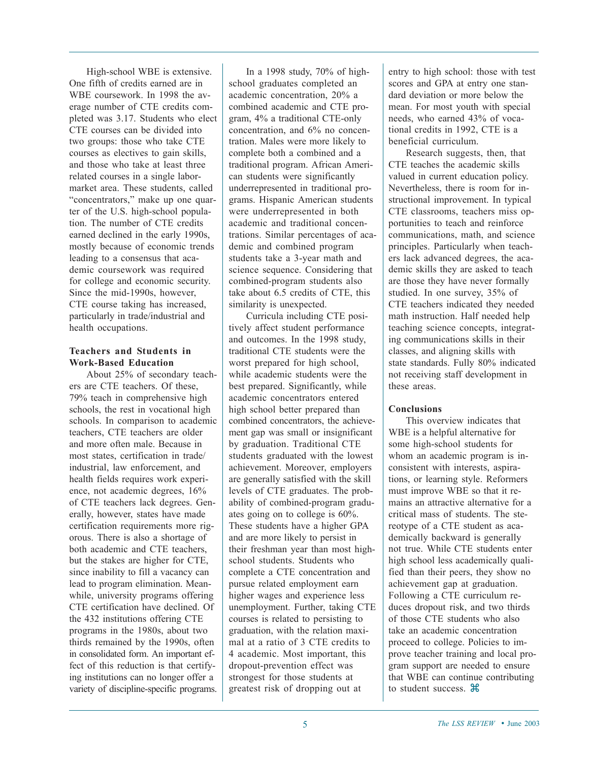High-school WBE is extensive. One fifth of credits earned are in WBE coursework. In 1998 the average number of CTE credits completed was 3.17. Students who elect CTE courses can be divided into two groups: those who take CTE courses as electives to gain skills, and those who take at least three related courses in a single labormarket area. These students, called "concentrators," make up one quarter of the U.S. high-school population. The number of CTE credits earned declined in the early 1990s, mostly because of economic trends leading to a consensus that academic coursework was required for college and economic security. Since the mid-1990s, however, CTE course taking has increased, particularly in trade/industrial and health occupations.

#### **Teachers and Students in Work-Based Education**

About 25% of secondary teachers are CTE teachers. Of these, 79% teach in comprehensive high schools, the rest in vocational high schools. In comparison to academic teachers, CTE teachers are older and more often male. Because in most states, certification in trade/ industrial, law enforcement, and health fields requires work experience, not academic degrees, 16% of CTE teachers lack degrees. Generally, however, states have made certification requirements more rigorous. There is also a shortage of both academic and CTE teachers, but the stakes are higher for CTE, since inability to fill a vacancy can lead to program elimination. Meanwhile, university programs offering CTE certification have declined. Of the 432 institutions offering CTE programs in the 1980s, about two thirds remained by the 1990s, often in consolidated form. An important effect of this reduction is that certifying institutions can no longer offer a variety of discipline-specific programs.

In a 1998 study, 70% of highschool graduates completed an academic concentration, 20% a combined academic and CTE program, 4% a traditional CTE-only concentration, and 6% no concentration. Males were more likely to complete both a combined and a traditional program. African American students were significantly underrepresented in traditional programs. Hispanic American students were underrepresented in both academic and traditional concentrations. Similar percentages of academic and combined program students take a 3-year math and science sequence. Considering that combined-program students also take about 6.5 credits of CTE, this similarity is unexpected.

Curricula including CTE positively affect student performance and outcomes. In the 1998 study, traditional CTE students were the worst prepared for high school, while academic students were the best prepared. Significantly, while academic concentrators entered high school better prepared than combined concentrators, the achievement gap was small or insignificant by graduation. Traditional CTE students graduated with the lowest achievement. Moreover, employers are generally satisfied with the skill levels of CTE graduates. The probability of combined-program graduates going on to college is 60%. These students have a higher GPA and are more likely to persist in their freshman year than most highschool students. Students who complete a CTE concentration and pursue related employment earn higher wages and experience less unemployment. Further, taking CTE courses is related to persisting to graduation, with the relation maximal at a ratio of 3 CTE credits to 4 academic. Most important, this dropout-prevention effect was strongest for those students at greatest risk of dropping out at

entry to high school: those with test scores and GPA at entry one standard deviation or more below the mean. For most youth with special needs, who earned 43% of vocational credits in 1992, CTE is a beneficial curriculum.

Research suggests, then, that CTE teaches the academic skills valued in current education policy. Nevertheless, there is room for instructional improvement. In typical CTE classrooms, teachers miss opportunities to teach and reinforce communications, math, and science principles. Particularly when teachers lack advanced degrees, the academic skills they are asked to teach are those they have never formally studied. In one survey, 35% of CTE teachers indicated they needed math instruction. Half needed help teaching science concepts, integrating communications skills in their classes, and aligning skills with state standards. Fully 80% indicated not receiving staff development in these areas.

#### **Conclusions**

This overview indicates that WBE is a helpful alternative for some high-school students for whom an academic program is inconsistent with interests, aspirations, or learning style. Reformers must improve WBE so that it remains an attractive alternative for a critical mass of students. The stereotype of a CTE student as academically backward is generally not true. While CTE students enter high school less academically qualified than their peers, they show no achievement gap at graduation. Following a CTE curriculum reduces dropout risk, and two thirds of those CTE students who also take an academic concentration proceed to college. Policies to improve teacher training and local program support are needed to ensure that WBE can continue contributing to student success.  $\mathcal{H}$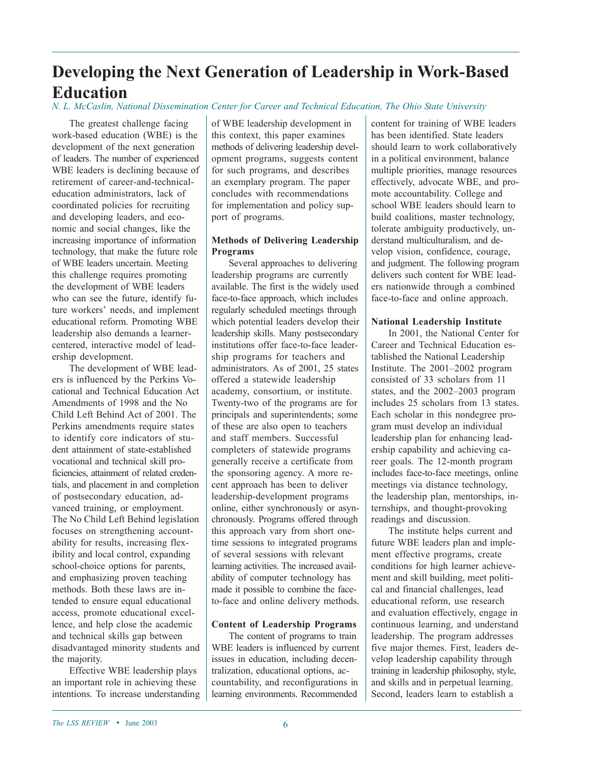# **Developing the Next Generation of Leadership in Work-Based Education**

#### *N. L. McCaslin, National Dissemination Center for Career and Technical Education, The Ohio State University*

The greatest challenge facing work-based education (WBE) is the development of the next generation of leaders. The number of experienced WBE leaders is declining because of retirement of career-and-technicaleducation administrators, lack of coordinated policies for recruiting and developing leaders, and economic and social changes, like the increasing importance of information technology, that make the future role of WBE leaders uncertain. Meeting this challenge requires promoting the development of WBE leaders who can see the future, identify future workers' needs, and implement educational reform. Promoting WBE leadership also demands a learnercentered, interactive model of leadership development.

The development of WBE leaders is influenced by the Perkins Vocational and Technical Education Act Amendments of 1998 and the No Child Left Behind Act of 2001. The Perkins amendments require states to identify core indicators of student attainment of state-established vocational and technical skill proficiencies, attainment of related credentials, and placement in and completion of postsecondary education, advanced training, or employment. The No Child Left Behind legislation focuses on strengthening accountability for results, increasing flexibility and local control, expanding school-choice options for parents, and emphasizing proven teaching methods. Both these laws are intended to ensure equal educational access, promote educational excellence, and help close the academic and technical skills gap between disadvantaged minority students and the majority.

Effective WBE leadership plays an important role in achieving these intentions. To increase understanding of WBE leadership development in this context, this paper examines methods of delivering leadership development programs, suggests content for such programs, and describes an exemplary program. The paper concludes with recommendations for implementation and policy support of programs.

#### **Methods of Delivering Leadership Programs**

Several approaches to delivering leadership programs are currently available. The first is the widely used face-to-face approach, which includes regularly scheduled meetings through which potential leaders develop their leadership skills. Many postsecondary institutions offer face-to-face leadership programs for teachers and administrators. As of 2001, 25 states offered a statewide leadership academy, consortium, or institute. Twenty-two of the programs are for principals and superintendents; some of these are also open to teachers and staff members. Successful completers of statewide programs generally receive a certificate from the sponsoring agency. A more recent approach has been to deliver leadership-development programs online, either synchronously or asynchronously. Programs offered through this approach vary from short onetime sessions to integrated programs of several sessions with relevant learning activities. The increased availability of computer technology has made it possible to combine the faceto-face and online delivery methods.

#### **Content of Leadership Programs**

The content of programs to train WBE leaders is influenced by current issues in education, including decentralization, educational options, accountability, and reconfigurations in learning environments. Recommended

content for training of WBE leaders has been identified. State leaders should learn to work collaboratively in a political environment, balance multiple priorities, manage resources effectively, advocate WBE, and promote accountability. College and school WBE leaders should learn to build coalitions, master technology, tolerate ambiguity productively, understand multiculturalism, and develop vision, confidence, courage, and judgment. The following program delivers such content for WBE leaders nationwide through a combined face-to-face and online approach.

#### **National Leadership Institute**

In 2001, the National Center for Career and Technical Education established the National Leadership Institute. The 2001–2002 program consisted of 33 scholars from 11 states, and the 2002–2003 program includes 25 scholars from 13 states. Each scholar in this nondegree program must develop an individual leadership plan for enhancing leadership capability and achieving career goals. The 12-month program includes face-to-face meetings, online meetings via distance technology, the leadership plan, mentorships, internships, and thought-provoking readings and discussion.

The institute helps current and future WBE leaders plan and implement effective programs, create conditions for high learner achievement and skill building, meet political and financial challenges, lead educational reform, use research and evaluation effectively, engage in continuous learning, and understand leadership. The program addresses five major themes. First, leaders develop leadership capability through training in leadership philosophy, style, and skills and in perpetual learning. Second, leaders learn to establish a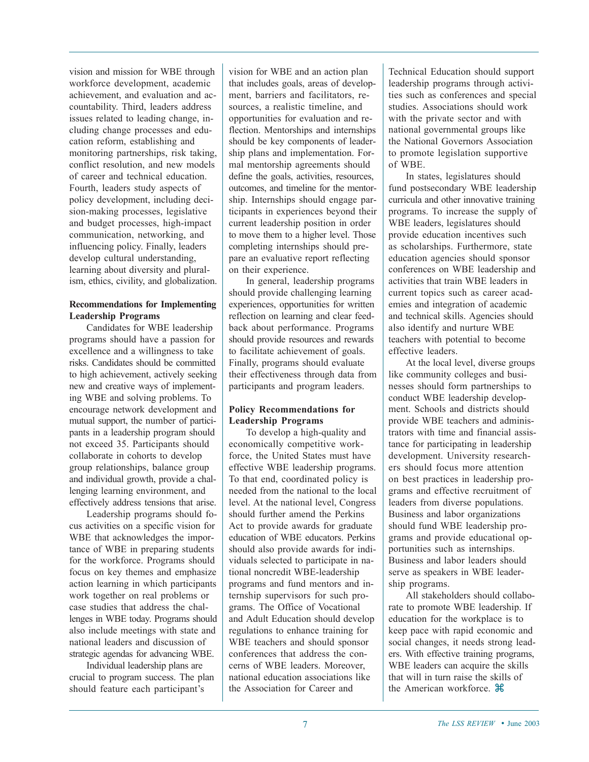vision and mission for WBE through workforce development, academic achievement, and evaluation and accountability. Third, leaders address issues related to leading change, including change processes and education reform, establishing and monitoring partnerships, risk taking, conflict resolution, and new models of career and technical education. Fourth, leaders study aspects of policy development, including decision-making processes, legislative and budget processes, high-impact communication, networking, and influencing policy. Finally, leaders develop cultural understanding, learning about diversity and pluralism, ethics, civility, and globalization.

#### **Recommendations for Implementing Leadership Programs**

Candidates for WBE leadership programs should have a passion for excellence and a willingness to take risks. Candidates should be committed to high achievement, actively seeking new and creative ways of implementing WBE and solving problems. To encourage network development and mutual support, the number of participants in a leadership program should not exceed 35. Participants should collaborate in cohorts to develop group relationships, balance group and individual growth, provide a challenging learning environment, and effectively address tensions that arise.

Leadership programs should focus activities on a specific vision for WBE that acknowledges the importance of WBE in preparing students for the workforce. Programs should focus on key themes and emphasize action learning in which participants work together on real problems or case studies that address the challenges in WBE today. Programs should also include meetings with state and national leaders and discussion of strategic agendas for advancing WBE.

Individual leadership plans are crucial to program success. The plan should feature each participant's

vision for WBE and an action plan that includes goals, areas of development, barriers and facilitators, resources, a realistic timeline, and opportunities for evaluation and reflection. Mentorships and internships should be key components of leadership plans and implementation. Formal mentorship agreements should define the goals, activities, resources, outcomes, and timeline for the mentorship. Internships should engage participants in experiences beyond their current leadership position in order to move them to a higher level. Those completing internships should prepare an evaluative report reflecting on their experience.

In general, leadership programs should provide challenging learning experiences, opportunities for written reflection on learning and clear feedback about performance. Programs should provide resources and rewards to facilitate achievement of goals. Finally, programs should evaluate their effectiveness through data from participants and program leaders.

#### **Policy Recommendations for Leadership Programs**

To develop a high-quality and economically competitive workforce, the United States must have effective WBE leadership programs. To that end, coordinated policy is needed from the national to the local level. At the national level, Congress should further amend the Perkins Act to provide awards for graduate education of WBE educators. Perkins should also provide awards for individuals selected to participate in national noncredit WBE-leadership programs and fund mentors and internship supervisors for such programs. The Office of Vocational and Adult Education should develop regulations to enhance training for WBE teachers and should sponsor conferences that address the concerns of WBE leaders. Moreover, national education associations like the Association for Career and

Technical Education should support leadership programs through activities such as conferences and special studies. Associations should work with the private sector and with national governmental groups like the National Governors Association to promote legislation supportive of WBE.

In states, legislatures should fund postsecondary WBE leadership curricula and other innovative training programs. To increase the supply of WBE leaders, legislatures should provide education incentives such as scholarships. Furthermore, state education agencies should sponsor conferences on WBE leadership and activities that train WBE leaders in current topics such as career academies and integration of academic and technical skills. Agencies should also identify and nurture WBE teachers with potential to become effective leaders.

At the local level, diverse groups like community colleges and businesses should form partnerships to conduct WBE leadership development. Schools and districts should provide WBE teachers and administrators with time and financial assistance for participating in leadership development. University researchers should focus more attention on best practices in leadership programs and effective recruitment of leaders from diverse populations. Business and labor organizations should fund WBE leadership programs and provide educational opportunities such as internships. Business and labor leaders should serve as speakers in WBE leadership programs.

All stakeholders should collaborate to promote WBE leadership. If education for the workplace is to keep pace with rapid economic and social changes, it needs strong leaders. With effective training programs, WBE leaders can acquire the skills that will in turn raise the skills of the American workforce.  $\mathcal{H}$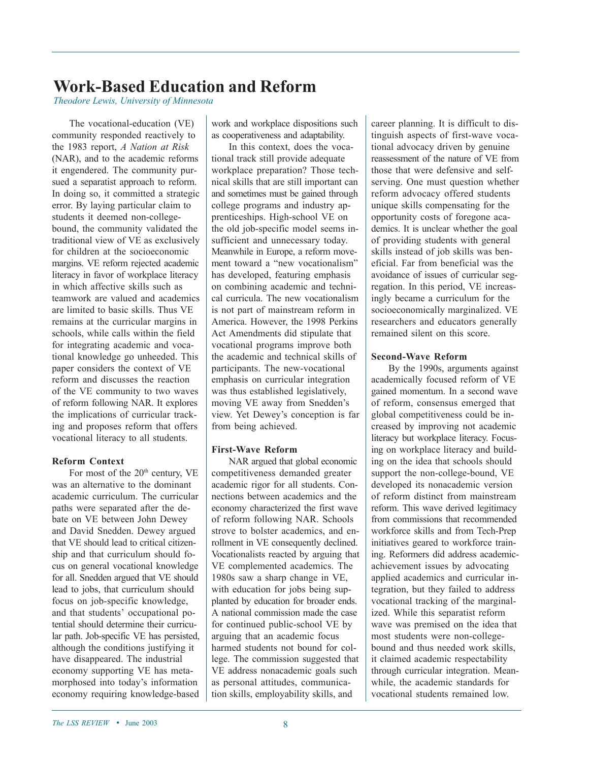## **Work-Based Education and Reform**

*Theodore Lewis, University of Minnesota*

The vocational-education (VE) community responded reactively to the 1983 report, *A Nation at Risk* (NAR), and to the academic reforms it engendered. The community pursued a separatist approach to reform. In doing so, it committed a strategic error. By laying particular claim to students it deemed non-collegebound, the community validated the traditional view of VE as exclusively for children at the socioeconomic margins. VE reform rejected academic literacy in favor of workplace literacy in which affective skills such as teamwork are valued and academics are limited to basic skills. Thus VE remains at the curricular margins in schools, while calls within the field for integrating academic and vocational knowledge go unheeded. This paper considers the context of VE reform and discusses the reaction of the VE community to two waves of reform following NAR. It explores the implications of curricular tracking and proposes reform that offers vocational literacy to all students.

#### **Reform Context**

For most of the  $20<sup>th</sup>$  century, VE was an alternative to the dominant academic curriculum. The curricular paths were separated after the debate on VE between John Dewey and David Snedden. Dewey argued that VE should lead to critical citizenship and that curriculum should focus on general vocational knowledge for all. Snedden argued that VE should lead to jobs, that curriculum should focus on job-specific knowledge, and that students' occupational potential should determine their curricular path. Job-specific VE has persisted, although the conditions justifying it have disappeared. The industrial economy supporting VE has metamorphosed into today's information economy requiring knowledge-based

work and workplace dispositions such as cooperativeness and adaptability.

In this context, does the vocational track still provide adequate workplace preparation? Those technical skills that are still important can and sometimes must be gained through college programs and industry apprenticeships. High-school VE on the old job-specific model seems insufficient and unnecessary today. Meanwhile in Europe, a reform movement toward a "new vocationalism" has developed, featuring emphasis on combining academic and technical curricula. The new vocationalism is not part of mainstream reform in America. However, the 1998 Perkins Act Amendments did stipulate that vocational programs improve both the academic and technical skills of participants. The new-vocational emphasis on curricular integration was thus established legislatively, moving VE away from Snedden's view. Yet Dewey's conception is far from being achieved.

#### **First-Wave Reform**

NAR argued that global economic competitiveness demanded greater academic rigor for all students. Connections between academics and the economy characterized the first wave of reform following NAR. Schools strove to bolster academics, and enrollment in VE consequently declined. Vocationalists reacted by arguing that VE complemented academics. The 1980s saw a sharp change in VE, with education for jobs being supplanted by education for broader ends. A national commission made the case for continued public-school VE by arguing that an academic focus harmed students not bound for college. The commission suggested that VE address nonacademic goals such as personal attitudes, communication skills, employability skills, and

career planning. It is difficult to distinguish aspects of first-wave vocational advocacy driven by genuine reassessment of the nature of VE from those that were defensive and selfserving. One must question whether reform advocacy offered students unique skills compensating for the opportunity costs of foregone academics. It is unclear whether the goal of providing students with general skills instead of job skills was beneficial. Far from beneficial was the avoidance of issues of curricular segregation. In this period, VE increasingly became a curriculum for the socioeconomically marginalized. VE researchers and educators generally remained silent on this score.

#### **Second-Wave Reform**

By the 1990s, arguments against academically focused reform of VE gained momentum. In a second wave of reform, consensus emerged that global competitiveness could be increased by improving not academic literacy but workplace literacy. Focusing on workplace literacy and building on the idea that schools should support the non-college-bound, VE developed its nonacademic version of reform distinct from mainstream reform. This wave derived legitimacy from commissions that recommended workforce skills and from Tech-Prep initiatives geared to workforce training. Reformers did address academicachievement issues by advocating applied academics and curricular integration, but they failed to address vocational tracking of the marginalized. While this separatist reform wave was premised on the idea that most students were non-collegebound and thus needed work skills, it claimed academic respectability through curricular integration. Meanwhile, the academic standards for vocational students remained low.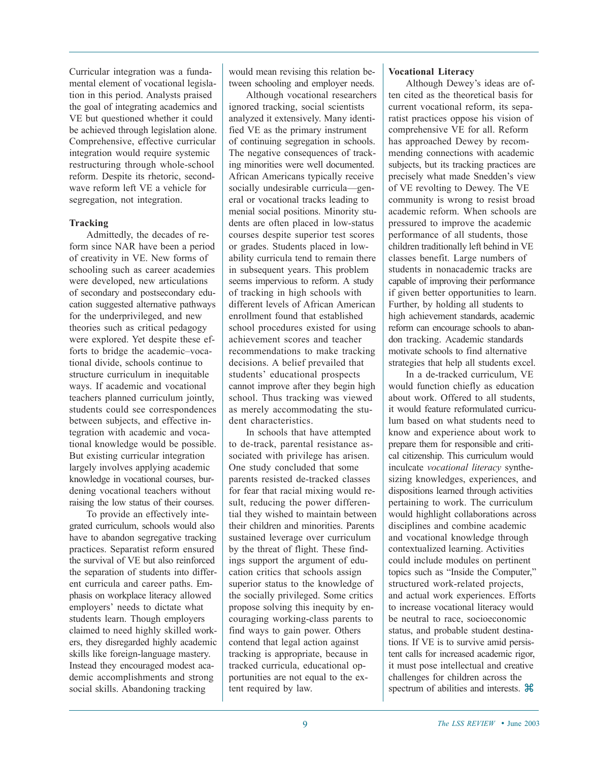Curricular integration was a fundamental element of vocational legislation in this period. Analysts praised the goal of integrating academics and VE but questioned whether it could be achieved through legislation alone. Comprehensive, effective curricular integration would require systemic restructuring through whole-school reform. Despite its rhetoric, secondwave reform left VE a vehicle for segregation, not integration.

#### **Tracking**

Admittedly, the decades of reform since NAR have been a period of creativity in VE. New forms of schooling such as career academies were developed, new articulations of secondary and postsecondary education suggested alternative pathways for the underprivileged, and new theories such as critical pedagogy were explored. Yet despite these efforts to bridge the academic–vocational divide, schools continue to structure curriculum in inequitable ways. If academic and vocational teachers planned curriculum jointly, students could see correspondences between subjects, and effective integration with academic and vocational knowledge would be possible. But existing curricular integration largely involves applying academic knowledge in vocational courses, burdening vocational teachers without raising the low status of their courses.

To provide an effectively integrated curriculum, schools would also have to abandon segregative tracking practices. Separatist reform ensured the survival of VE but also reinforced the separation of students into different curricula and career paths. Emphasis on workplace literacy allowed employers' needs to dictate what students learn. Though employers claimed to need highly skilled workers, they disregarded highly academic skills like foreign-language mastery. Instead they encouraged modest academic accomplishments and strong social skills. Abandoning tracking

would mean revising this relation between schooling and employer needs.

Although vocational researchers ignored tracking, social scientists analyzed it extensively. Many identified VE as the primary instrument of continuing segregation in schools. The negative consequences of tracking minorities were well documented. African Americans typically receive socially undesirable curricula—general or vocational tracks leading to menial social positions. Minority students are often placed in low-status courses despite superior test scores or grades. Students placed in lowability curricula tend to remain there in subsequent years. This problem seems impervious to reform. A study of tracking in high schools with different levels of African American enrollment found that established school procedures existed for using achievement scores and teacher recommendations to make tracking decisions. A belief prevailed that students' educational prospects cannot improve after they begin high school. Thus tracking was viewed as merely accommodating the student characteristics.

In schools that have attempted to de-track, parental resistance associated with privilege has arisen. One study concluded that some parents resisted de-tracked classes for fear that racial mixing would result, reducing the power differential they wished to maintain between their children and minorities. Parents sustained leverage over curriculum by the threat of flight. These findings support the argument of education critics that schools assign superior status to the knowledge of the socially privileged. Some critics propose solving this inequity by encouraging working-class parents to find ways to gain power. Others contend that legal action against tracking is appropriate, because in tracked curricula, educational opportunities are not equal to the extent required by law.

#### **Vocational Literacy**

Although Dewey's ideas are often cited as the theoretical basis for current vocational reform, its separatist practices oppose his vision of comprehensive VE for all. Reform has approached Dewey by recommending connections with academic subjects, but its tracking practices are precisely what made Snedden's view of VE revolting to Dewey. The VE community is wrong to resist broad academic reform. When schools are pressured to improve the academic performance of all students, those children traditionally left behind in VE classes benefit. Large numbers of students in nonacademic tracks are capable of improving their performance if given better opportunities to learn. Further, by holding all students to high achievement standards, academic reform can encourage schools to abandon tracking. Academic standards motivate schools to find alternative strategies that help all students excel.

In a de-tracked curriculum, VE would function chiefly as education about work. Offered to all students, it would feature reformulated curriculum based on what students need to know and experience about work to prepare them for responsible and critical citizenship. This curriculum would inculcate *vocational literacy* synthesizing knowledges, experiences, and dispositions learned through activities pertaining to work. The curriculum would highlight collaborations across disciplines and combine academic and vocational knowledge through contextualized learning. Activities could include modules on pertinent topics such as "Inside the Computer," structured work-related projects, and actual work experiences. Efforts to increase vocational literacy would be neutral to race, socioeconomic status, and probable student destinations. If VE is to survive amid persistent calls for increased academic rigor, it must pose intellectual and creative challenges for children across the spectrum of abilities and interests.  $\mathcal{H}$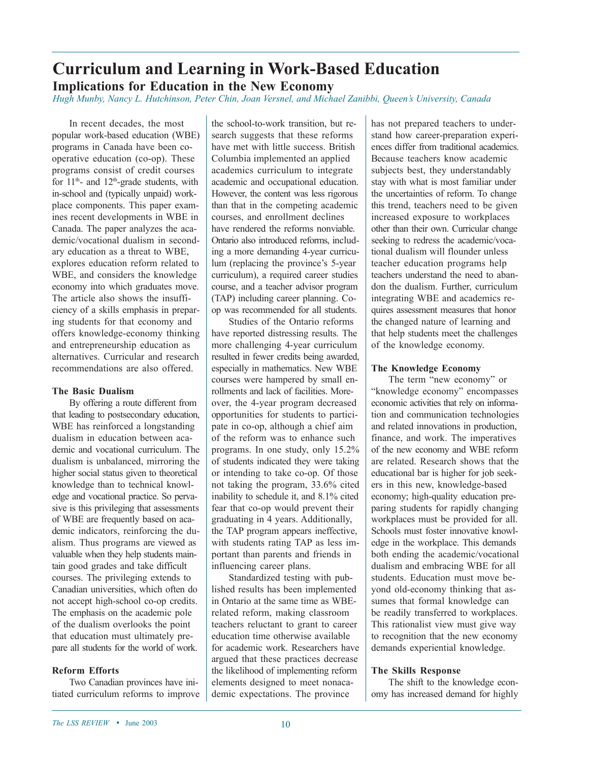## **Curriculum and Learning in Work-Based Education Implications for Education in the New Economy**

*Hugh Munby, Nancy L. Hutchinson, Peter Chin, Joan Versnel, and Michael Zanibbi, Queen's University, Canada*

In recent decades, the most popular work-based education (WBE) programs in Canada have been cooperative education (co-op). These programs consist of credit courses for  $11<sup>th</sup>$ - and  $12<sup>th</sup>$ -grade students, with in-school and (typically unpaid) workplace components. This paper examines recent developments in WBE in Canada. The paper analyzes the academic/vocational dualism in secondary education as a threat to WBE, explores education reform related to WBE, and considers the knowledge economy into which graduates move. The article also shows the insufficiency of a skills emphasis in preparing students for that economy and offers knowledge-economy thinking and entrepreneurship education as alternatives. Curricular and research recommendations are also offered.

#### **The Basic Dualism**

By offering a route different from that leading to postsecondary education, WBE has reinforced a longstanding dualism in education between academic and vocational curriculum. The dualism is unbalanced, mirroring the higher social status given to theoretical knowledge than to technical knowledge and vocational practice. So pervasive is this privileging that assessments of WBE are frequently based on academic indicators, reinforcing the dualism. Thus programs are viewed as valuable when they help students maintain good grades and take difficult courses. The privileging extends to Canadian universities, which often do not accept high-school co-op credits. The emphasis on the academic pole of the dualism overlooks the point that education must ultimately prepare all students for the world of work.

#### **Reform Efforts**

Two Canadian provinces have initiated curriculum reforms to improve the school-to-work transition, but research suggests that these reforms have met with little success. British Columbia implemented an applied academics curriculum to integrate academic and occupational education. However, the content was less rigorous than that in the competing academic courses, and enrollment declines have rendered the reforms nonviable. Ontario also introduced reforms, including a more demanding 4-year curriculum (replacing the province's 5-year curriculum), a required career studies course, and a teacher advisor program (TAP) including career planning. Coop was recommended for all students.

Studies of the Ontario reforms have reported distressing results. The more challenging 4-year curriculum resulted in fewer credits being awarded, especially in mathematics. New WBE courses were hampered by small enrollments and lack of facilities. Moreover, the 4-year program decreased opportunities for students to participate in co-op, although a chief aim of the reform was to enhance such programs. In one study, only 15.2% of students indicated they were taking or intending to take co-op. Of those not taking the program, 33.6% cited inability to schedule it, and 8.1% cited fear that co-op would prevent their graduating in 4 years. Additionally, the TAP program appears ineffective, with students rating TAP as less important than parents and friends in influencing career plans.

Standardized testing with published results has been implemented in Ontario at the same time as WBErelated reform, making classroom teachers reluctant to grant to career education time otherwise available for academic work. Researchers have argued that these practices decrease the likelihood of implementing reform elements designed to meet nonacademic expectations. The province

has not prepared teachers to understand how career-preparation experiences differ from traditional academics. Because teachers know academic subjects best, they understandably stay with what is most familiar under the uncertainties of reform. To change this trend, teachers need to be given increased exposure to workplaces other than their own. Curricular change seeking to redress the academic/vocational dualism will flounder unless teacher education programs help teachers understand the need to abandon the dualism. Further, curriculum integrating WBE and academics requires assessment measures that honor the changed nature of learning and that help students meet the challenges of the knowledge economy.

#### **The Knowledge Economy**

The term "new economy" or "knowledge economy" encompasses economic activities that rely on information and communication technologies and related innovations in production, finance, and work. The imperatives of the new economy and WBE reform are related. Research shows that the educational bar is higher for job seekers in this new, knowledge-based economy; high-quality education preparing students for rapidly changing workplaces must be provided for all. Schools must foster innovative knowledge in the workplace. This demands both ending the academic/vocational dualism and embracing WBE for all students. Education must move beyond old-economy thinking that assumes that formal knowledge can be readily transferred to workplaces. This rationalist view must give way to recognition that the new economy demands experiential knowledge.

#### **The Skills Response**

The shift to the knowledge economy has increased demand for highly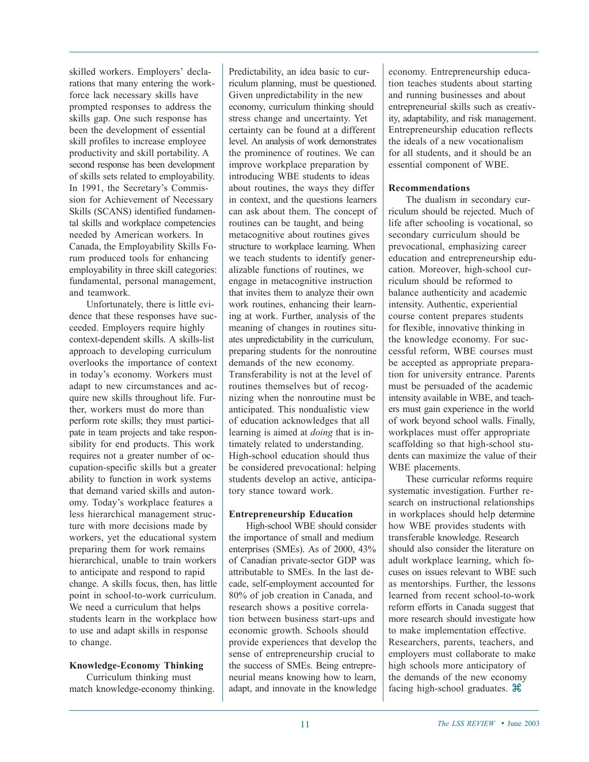skilled workers. Employers' declarations that many entering the workforce lack necessary skills have prompted responses to address the skills gap. One such response has been the development of essential skill profiles to increase employee productivity and skill portability. A second response has been development of skills sets related to employability. In 1991, the Secretary's Commission for Achievement of Necessary Skills (SCANS) identified fundamental skills and workplace competencies needed by American workers. In Canada, the Employability Skills Forum produced tools for enhancing employability in three skill categories: fundamental, personal management, and teamwork.

Unfortunately, there is little evidence that these responses have succeeded. Employers require highly context-dependent skills. A skills-list approach to developing curriculum overlooks the importance of context in today's economy. Workers must adapt to new circumstances and acquire new skills throughout life. Further, workers must do more than perform rote skills; they must participate in team projects and take responsibility for end products. This work requires not a greater number of occupation-specific skills but a greater ability to function in work systems that demand varied skills and autonomy. Today's workplace features a less hierarchical management structure with more decisions made by workers, yet the educational system preparing them for work remains hierarchical, unable to train workers to anticipate and respond to rapid change. A skills focus, then, has little point in school-to-work curriculum. We need a curriculum that helps students learn in the workplace how to use and adapt skills in response to change.

#### **Knowledge-Economy Thinking**

Curriculum thinking must match knowledge-economy thinking.

Predictability, an idea basic to curriculum planning, must be questioned. Given unpredictability in the new economy, curriculum thinking should stress change and uncertainty. Yet certainty can be found at a different level. An analysis of work demonstrates the prominence of routines. We can improve workplace preparation by introducing WBE students to ideas about routines, the ways they differ in context, and the questions learners can ask about them. The concept of routines can be taught, and being metacognitive about routines gives structure to workplace learning. When we teach students to identify generalizable functions of routines, we engage in metacognitive instruction that invites them to analyze their own work routines, enhancing their learning at work. Further, analysis of the meaning of changes in routines situates unpredictability in the curriculum, preparing students for the nonroutine demands of the new economy. Transferability is not at the level of routines themselves but of recognizing when the nonroutine must be anticipated. This nondualistic view of education acknowledges that all learning is aimed at *doing* that is intimately related to understanding. High-school education should thus be considered prevocational: helping students develop an active, anticipatory stance toward work.

#### **Entrepreneurship Education**

High-school WBE should consider the importance of small and medium enterprises (SMEs). As of 2000, 43% of Canadian private-sector GDP was attributable to SMEs. In the last decade, self-employment accounted for 80% of job creation in Canada, and research shows a positive correlation between business start-ups and economic growth. Schools should provide experiences that develop the sense of entrepreneurship crucial to the success of SMEs. Being entrepreneurial means knowing how to learn, adapt, and innovate in the knowledge economy. Entrepreneurship education teaches students about starting and running businesses and about entrepreneurial skills such as creativity, adaptability, and risk management. Entrepreneurship education reflects the ideals of a new vocationalism for all students, and it should be an essential component of WBE.

#### **Recommendations**

The dualism in secondary curriculum should be rejected. Much of life after schooling is vocational, so secondary curriculum should be prevocational, emphasizing career education and entrepreneurship education. Moreover, high-school curriculum should be reformed to balance authenticity and academic intensity. Authentic, experiential course content prepares students for flexible, innovative thinking in the knowledge economy. For successful reform, WBE courses must be accepted as appropriate preparation for university entrance. Parents must be persuaded of the academic intensity available in WBE, and teachers must gain experience in the world of work beyond school walls. Finally, workplaces must offer appropriate scaffolding so that high-school students can maximize the value of their WBE placements.

These curricular reforms require systematic investigation. Further research on instructional relationships in workplaces should help determine how WBE provides students with transferable knowledge. Research should also consider the literature on adult workplace learning, which focuses on issues relevant to WBE such as mentorships. Further, the lessons learned from recent school-to-work reform efforts in Canada suggest that more research should investigate how to make implementation effective. Researchers, parents, teachers, and employers must collaborate to make high schools more anticipatory of the demands of the new economy facing high-school graduates.  $\mathcal{H}$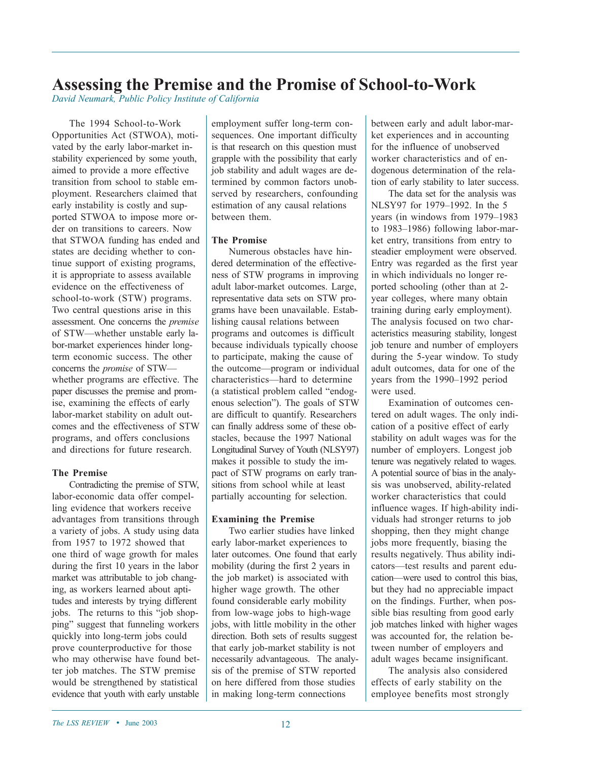## **Assessing the Premise and the Promise of School-to-Work**

*David Neumark, Public Policy Institute of California*

The 1994 School-to-Work Opportunities Act (STWOA), motivated by the early labor-market instability experienced by some youth, aimed to provide a more effective transition from school to stable employment. Researchers claimed that early instability is costly and supported STWOA to impose more order on transitions to careers. Now that STWOA funding has ended and states are deciding whether to continue support of existing programs, it is appropriate to assess available evidence on the effectiveness of school-to-work (STW) programs. Two central questions arise in this assessment. One concerns the *premise* of STW—whether unstable early labor-market experiences hinder longterm economic success. The other concerns the *promise* of STW whether programs are effective. The paper discusses the premise and promise, examining the effects of early labor-market stability on adult outcomes and the effectiveness of STW programs, and offers conclusions and directions for future research.

#### **The Premise**

Contradicting the premise of STW, labor-economic data offer compelling evidence that workers receive advantages from transitions through a variety of jobs. A study using data from 1957 to 1972 showed that one third of wage growth for males during the first 10 years in the labor market was attributable to job changing, as workers learned about aptitudes and interests by trying different jobs. The returns to this "job shopping" suggest that funneling workers quickly into long-term jobs could prove counterproductive for those who may otherwise have found better job matches. The STW premise would be strengthened by statistical evidence that youth with early unstable employment suffer long-term consequences. One important difficulty is that research on this question must grapple with the possibility that early job stability and adult wages are determined by common factors unobserved by researchers, confounding estimation of any causal relations between them.

#### **The Promise**

Numerous obstacles have hindered determination of the effectiveness of STW programs in improving adult labor-market outcomes. Large, representative data sets on STW programs have been unavailable. Establishing causal relations between programs and outcomes is difficult because individuals typically choose to participate, making the cause of the outcome—program or individual characteristics—hard to determine (a statistical problem called "endogenous selection"). The goals of STW are difficult to quantify. Researchers can finally address some of these obstacles, because the 1997 National Longitudinal Survey of Youth (NLSY97) makes it possible to study the impact of STW programs on early transitions from school while at least partially accounting for selection.

#### **Examining the Premise**

Two earlier studies have linked early labor-market experiences to later outcomes. One found that early mobility (during the first 2 years in the job market) is associated with higher wage growth. The other found considerable early mobility from low-wage jobs to high-wage jobs, with little mobility in the other direction. Both sets of results suggest that early job-market stability is not necessarily advantageous. The analysis of the premise of STW reported on here differed from those studies in making long-term connections

between early and adult labor-market experiences and in accounting for the influence of unobserved worker characteristics and of endogenous determination of the relation of early stability to later success.

The data set for the analysis was NLSY97 for 1979–1992. In the 5 years (in windows from 1979–1983 to 1983–1986) following labor-market entry, transitions from entry to steadier employment were observed. Entry was regarded as the first year in which individuals no longer reported schooling (other than at 2 year colleges, where many obtain training during early employment). The analysis focused on two characteristics measuring stability, longest job tenure and number of employers during the 5-year window. To study adult outcomes, data for one of the years from the 1990–1992 period were used.

Examination of outcomes centered on adult wages. The only indication of a positive effect of early stability on adult wages was for the number of employers. Longest job tenure was negatively related to wages. A potential source of bias in the analysis was unobserved, ability-related worker characteristics that could influence wages. If high-ability individuals had stronger returns to job shopping, then they might change jobs more frequently, biasing the results negatively. Thus ability indicators—test results and parent education—were used to control this bias, but they had no appreciable impact on the findings. Further, when possible bias resulting from good early job matches linked with higher wages was accounted for, the relation between number of employers and adult wages became insignificant.

The analysis also considered effects of early stability on the employee benefits most strongly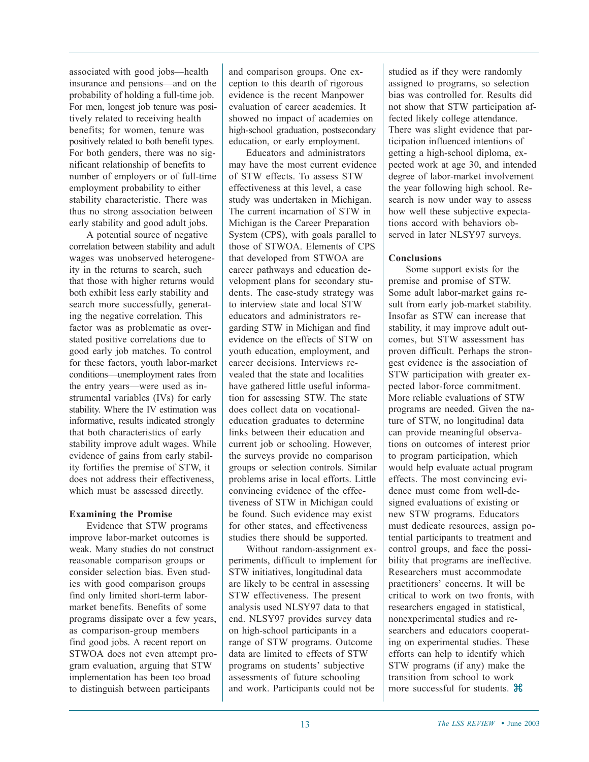associated with good jobs—health insurance and pensions—and on the probability of holding a full-time job. For men, longest job tenure was positively related to receiving health benefits; for women, tenure was positively related to both benefit types. For both genders, there was no significant relationship of benefits to number of employers or of full-time employment probability to either stability characteristic. There was thus no strong association between early stability and good adult jobs.

A potential source of negative correlation between stability and adult wages was unobserved heterogeneity in the returns to search, such that those with higher returns would both exhibit less early stability and search more successfully, generating the negative correlation. This factor was as problematic as overstated positive correlations due to good early job matches. To control for these factors, youth labor-market conditions—unemployment rates from the entry years—were used as instrumental variables (IVs) for early stability. Where the IV estimation was informative, results indicated strongly that both characteristics of early stability improve adult wages. While evidence of gains from early stability fortifies the premise of STW, it does not address their effectiveness, which must be assessed directly.

#### **Examining the Promise**

Evidence that STW programs improve labor-market outcomes is weak. Many studies do not construct reasonable comparison groups or consider selection bias. Even studies with good comparison groups find only limited short-term labormarket benefits. Benefits of some programs dissipate over a few years, as comparison-group members find good jobs. A recent report on STWOA does not even attempt program evaluation, arguing that STW implementation has been too broad to distinguish between participants

and comparison groups. One exception to this dearth of rigorous evidence is the recent Manpower evaluation of career academies. It showed no impact of academies on high-school graduation, postsecondary education, or early employment.

Educators and administrators may have the most current evidence of STW effects. To assess STW effectiveness at this level, a case study was undertaken in Michigan. The current incarnation of STW in Michigan is the Career Preparation System (CPS), with goals parallel to those of STWOA. Elements of CPS that developed from STWOA are career pathways and education development plans for secondary students. The case-study strategy was to interview state and local STW educators and administrators regarding STW in Michigan and find evidence on the effects of STW on youth education, employment, and career decisions. Interviews revealed that the state and localities have gathered little useful information for assessing STW. The state does collect data on vocationaleducation graduates to determine links between their education and current job or schooling. However, the surveys provide no comparison groups or selection controls. Similar problems arise in local efforts. Little convincing evidence of the effectiveness of STW in Michigan could be found. Such evidence may exist for other states, and effectiveness studies there should be supported.

Without random-assignment experiments, difficult to implement for STW initiatives, longitudinal data are likely to be central in assessing STW effectiveness. The present analysis used NLSY97 data to that end. NLSY97 provides survey data on high-school participants in a range of STW programs. Outcome data are limited to effects of STW programs on students' subjective assessments of future schooling and work. Participants could not be

studied as if they were randomly assigned to programs, so selection bias was controlled for. Results did not show that STW participation affected likely college attendance. There was slight evidence that participation influenced intentions of getting a high-school diploma, expected work at age 30, and intended degree of labor-market involvement the year following high school. Research is now under way to assess how well these subjective expectations accord with behaviors observed in later NLSY97 surveys.

#### **Conclusions**

Some support exists for the premise and promise of STW. Some adult labor-market gains result from early job-market stability. Insofar as STW can increase that stability, it may improve adult outcomes, but STW assessment has proven difficult. Perhaps the strongest evidence is the association of STW participation with greater expected labor-force commitment. More reliable evaluations of STW programs are needed. Given the nature of STW, no longitudinal data can provide meaningful observations on outcomes of interest prior to program participation, which would help evaluate actual program effects. The most convincing evidence must come from well-designed evaluations of existing or new STW programs. Educators must dedicate resources, assign potential participants to treatment and control groups, and face the possibility that programs are ineffective. Researchers must accommodate practitioners' concerns. It will be critical to work on two fronts, with researchers engaged in statistical, nonexperimental studies and researchers and educators cooperating on experimental studies. These efforts can help to identify which STW programs (if any) make the transition from school to work more successful for students.  $\mathcal{H}$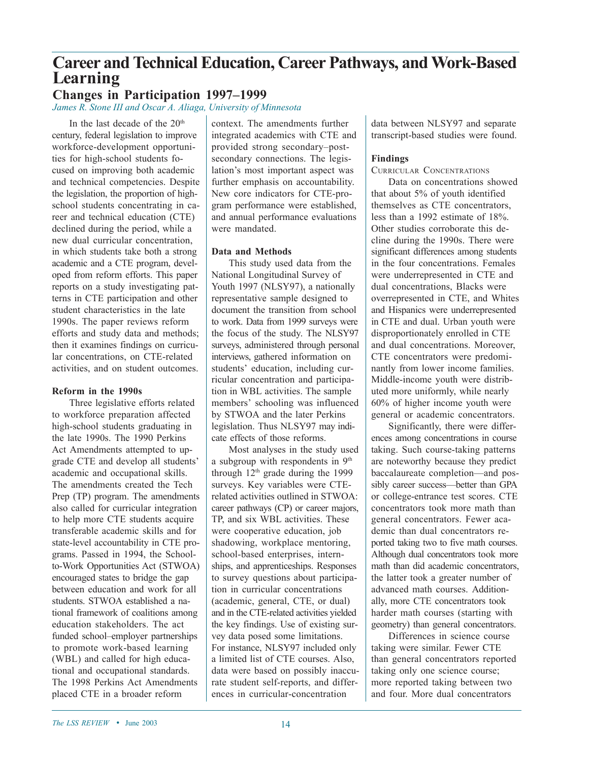# **Career and Technical Education, Career Pathways, and Work-Based Learning**

### **Changes in Participation 1997–1999**

*James R. Stone III and Oscar A. Aliaga, University of Minnesota*

In the last decade of the  $20<sup>th</sup>$ century, federal legislation to improve workforce-development opportunities for high-school students focused on improving both academic and technical competencies. Despite the legislation, the proportion of highschool students concentrating in career and technical education (CTE) declined during the period, while a new dual curricular concentration, in which students take both a strong academic and a CTE program, developed from reform efforts. This paper reports on a study investigating patterns in CTE participation and other student characteristics in the late 1990s. The paper reviews reform efforts and study data and methods; then it examines findings on curricular concentrations, on CTE-related activities, and on student outcomes.

#### **Reform in the 1990s**

Three legislative efforts related to workforce preparation affected high-school students graduating in the late 1990s. The 1990 Perkins Act Amendments attempted to upgrade CTE and develop all students' academic and occupational skills. The amendments created the Tech Prep (TP) program. The amendments also called for curricular integration to help more CTE students acquire transferable academic skills and for state-level accountability in CTE programs. Passed in 1994, the Schoolto-Work Opportunities Act (STWOA) encouraged states to bridge the gap between education and work for all students. STWOA established a national framework of coalitions among education stakeholders. The act funded school–employer partnerships to promote work-based learning (WBL) and called for high educational and occupational standards. The 1998 Perkins Act Amendments placed CTE in a broader reform

context. The amendments further integrated academics with CTE and provided strong secondary–postsecondary connections. The legislation's most important aspect was further emphasis on accountability. New core indicators for CTE-program performance were established, and annual performance evaluations were mandated.

#### **Data and Methods**

This study used data from the National Longitudinal Survey of Youth 1997 (NLSY97), a nationally representative sample designed to document the transition from school to work. Data from 1999 surveys were the focus of the study. The NLSY97 surveys, administered through personal interviews, gathered information on students' education, including curricular concentration and participation in WBL activities. The sample members' schooling was influenced by STWOA and the later Perkins legislation. Thus NLSY97 may indicate effects of those reforms.

Most analyses in the study used a subgroup with respondents in 9th through  $12<sup>th</sup>$  grade during the 1999 surveys. Key variables were CTErelated activities outlined in STWOA: career pathways (CP) or career majors, TP, and six WBL activities. These were cooperative education, job shadowing, workplace mentoring, school-based enterprises, internships, and apprenticeships. Responses to survey questions about participation in curricular concentrations (academic, general, CTE, or dual) and in the CTE-related activities yielded the key findings. Use of existing survey data posed some limitations. For instance, NLSY97 included only a limited list of CTE courses. Also, data were based on possibly inaccurate student self-reports, and differences in curricular-concentration

data between NLSY97 and separate transcript-based studies were found.

#### **Findings**

#### CURRICULAR CONCENTRATIONS

Data on concentrations showed that about 5% of youth identified themselves as CTE concentrators, less than a 1992 estimate of 18%. Other studies corroborate this decline during the 1990s. There were significant differences among students in the four concentrations. Females were underrepresented in CTE and dual concentrations, Blacks were overrepresented in CTE, and Whites and Hispanics were underrepresented in CTE and dual. Urban youth were disproportionately enrolled in CTE and dual concentrations. Moreover, CTE concentrators were predominantly from lower income families. Middle-income youth were distributed more uniformly, while nearly 60% of higher income youth were general or academic concentrators.

Significantly, there were differences among concentrations in course taking. Such course-taking patterns are noteworthy because they predict baccalaureate completion—and possibly career success—better than GPA or college-entrance test scores. CTE concentrators took more math than general concentrators. Fewer academic than dual concentrators reported taking two to five math courses. Although dual concentrators took more math than did academic concentrators, the latter took a greater number of advanced math courses. Additionally, more CTE concentrators took harder math courses (starting with geometry) than general concentrators.

Differences in science course taking were similar. Fewer CTE than general concentrators reported taking only one science course; more reported taking between two and four. More dual concentrators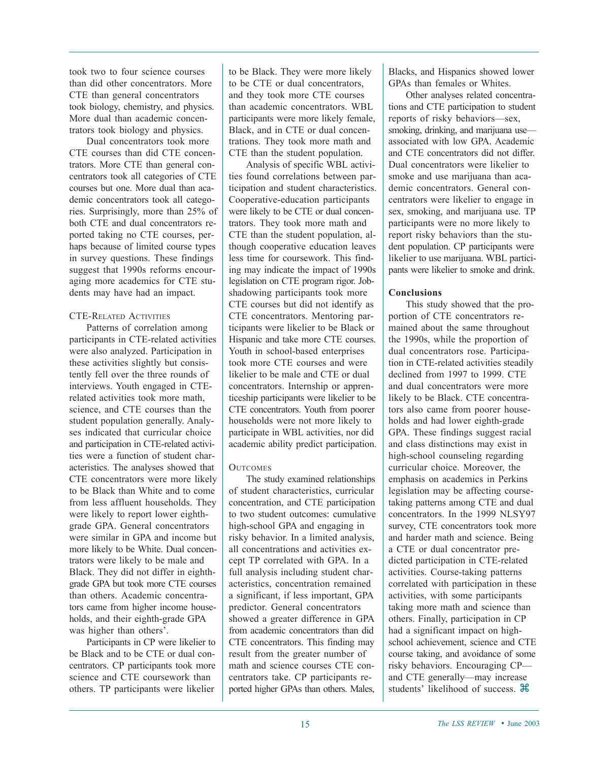took two to four science courses than did other concentrators. More CTE than general concentrators took biology, chemistry, and physics. More dual than academic concentrators took biology and physics.

Dual concentrators took more CTE courses than did CTE concentrators. More CTE than general concentrators took all categories of CTE courses but one. More dual than academic concentrators took all categories. Surprisingly, more than 25% of both CTE and dual concentrators reported taking no CTE courses, perhaps because of limited course types in survey questions. These findings suggest that 1990s reforms encouraging more academics for CTE students may have had an impact.

#### CTE-RELATED ACTIVITIES

Patterns of correlation among participants in CTE-related activities were also analyzed. Participation in these activities slightly but consistently fell over the three rounds of interviews. Youth engaged in CTErelated activities took more math, science, and CTE courses than the student population generally. Analyses indicated that curricular choice and participation in CTE-related activities were a function of student characteristics. The analyses showed that CTE concentrators were more likely to be Black than White and to come from less affluent households. They were likely to report lower eighthgrade GPA. General concentrators were similar in GPA and income but more likely to be White. Dual concentrators were likely to be male and Black. They did not differ in eighthgrade GPA but took more CTE courses than others. Academic concentrators came from higher income households, and their eighth-grade GPA was higher than others'.

Participants in CP were likelier to be Black and to be CTE or dual concentrators. CP participants took more science and CTE coursework than others. TP participants were likelier

to be Black. They were more likely to be CTE or dual concentrators, and they took more CTE courses than academic concentrators. WBL participants were more likely female, Black, and in CTE or dual concentrations. They took more math and CTE than the student population.

Analysis of specific WBL activities found correlations between participation and student characteristics. Cooperative-education participants were likely to be CTE or dual concentrators. They took more math and CTE than the student population, although cooperative education leaves less time for coursework. This finding may indicate the impact of 1990s legislation on CTE program rigor. Jobshadowing participants took more CTE courses but did not identify as CTE concentrators. Mentoring participants were likelier to be Black or Hispanic and take more CTE courses. Youth in school-based enterprises took more CTE courses and were likelier to be male and CTE or dual concentrators. Internship or apprenticeship participants were likelier to be CTE concentrators. Youth from poorer households were not more likely to participate in WBL activities, nor did academic ability predict participation.

#### **OUTCOMES**

The study examined relationships of student characteristics, curricular concentration, and CTE participation to two student outcomes: cumulative high-school GPA and engaging in risky behavior. In a limited analysis, all concentrations and activities except TP correlated with GPA. In a full analysis including student characteristics, concentration remained a significant, if less important, GPA predictor. General concentrators showed a greater difference in GPA from academic concentrators than did CTE concentrators. This finding may result from the greater number of math and science courses CTE concentrators take. CP participants reported higher GPAs than others. Males,

Blacks, and Hispanics showed lower GPAs than females or Whites.

Other analyses related concentrations and CTE participation to student reports of risky behaviors—sex, smoking, drinking, and marijuana use associated with low GPA. Academic and CTE concentrators did not differ. Dual concentrators were likelier to smoke and use marijuana than academic concentrators. General concentrators were likelier to engage in sex, smoking, and marijuana use. TP participants were no more likely to report risky behaviors than the student population. CP participants were likelier to use marijuana. WBL participants were likelier to smoke and drink.

#### **Conclusions**

This study showed that the proportion of CTE concentrators remained about the same throughout the 1990s, while the proportion of dual concentrators rose. Participation in CTE-related activities steadily declined from 1997 to 1999. CTE and dual concentrators were more likely to be Black. CTE concentrators also came from poorer households and had lower eighth-grade GPA. These findings suggest racial and class distinctions may exist in high-school counseling regarding curricular choice. Moreover, the emphasis on academics in Perkins legislation may be affecting coursetaking patterns among CTE and dual concentrators. In the 1999 NLSY97 survey, CTE concentrators took more and harder math and science. Being a CTE or dual concentrator predicted participation in CTE-related activities. Course-taking patterns correlated with participation in these activities, with some participants taking more math and science than others. Finally, participation in CP had a significant impact on highschool achievement, science and CTE course taking, and avoidance of some risky behaviors. Encouraging CP and CTE generally—may increase students' likelihood of success.  $\mathcal{H}$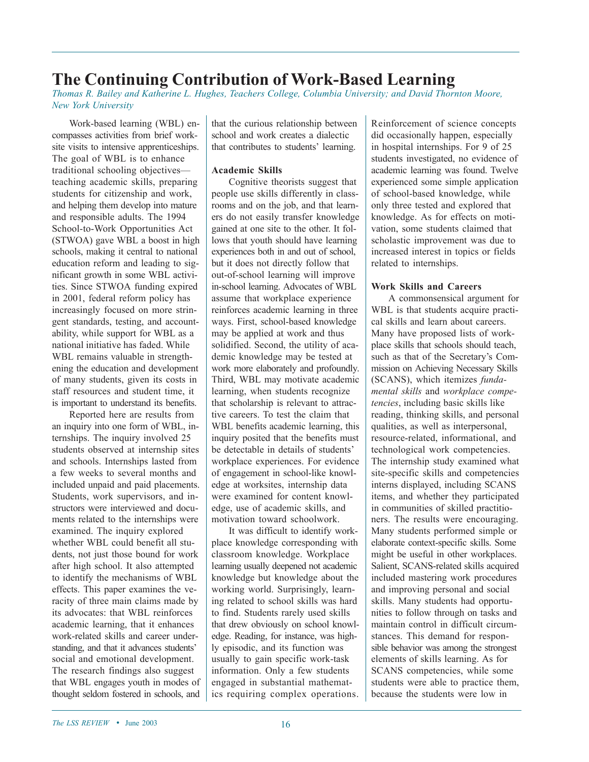# **The Continuing Contribution of Work-Based Learning**

*Thomas R. Bailey and Katherine L. Hughes, Teachers College, Columbia University; and David Thornton Moore, New York University*

Work-based learning (WBL) encompasses activities from brief worksite visits to intensive apprenticeships. The goal of WBL is to enhance traditional schooling objectives teaching academic skills, preparing students for citizenship and work, and helping them develop into mature and responsible adults. The 1994 School-to-Work Opportunities Act (STWOA) gave WBL a boost in high schools, making it central to national education reform and leading to significant growth in some WBL activities. Since STWOA funding expired in 2001, federal reform policy has increasingly focused on more stringent standards, testing, and accountability, while support for WBL as a national initiative has faded. While WBL remains valuable in strengthening the education and development of many students, given its costs in staff resources and student time, it is important to understand its benefits.

Reported here are results from an inquiry into one form of WBL, internships. The inquiry involved 25 students observed at internship sites and schools. Internships lasted from a few weeks to several months and included unpaid and paid placements. Students, work supervisors, and instructors were interviewed and documents related to the internships were examined. The inquiry explored whether WBL could benefit all students, not just those bound for work after high school. It also attempted to identify the mechanisms of WBL effects. This paper examines the veracity of three main claims made by its advocates: that WBL reinforces academic learning, that it enhances work-related skills and career understanding, and that it advances students' social and emotional development. The research findings also suggest that WBL engages youth in modes of thought seldom fostered in schools, and that the curious relationship between school and work creates a dialectic that contributes to students' learning.

#### **Academic Skills**

Cognitive theorists suggest that people use skills differently in classrooms and on the job, and that learners do not easily transfer knowledge gained at one site to the other. It follows that youth should have learning experiences both in and out of school, but it does not directly follow that out-of-school learning will improve in-school learning. Advocates of WBL assume that workplace experience reinforces academic learning in three ways. First, school-based knowledge may be applied at work and thus solidified. Second, the utility of academic knowledge may be tested at work more elaborately and profoundly. Third, WBL may motivate academic learning, when students recognize that scholarship is relevant to attractive careers. To test the claim that WBL benefits academic learning, this inquiry posited that the benefits must be detectable in details of students' workplace experiences. For evidence of engagement in school-like knowledge at worksites, internship data were examined for content knowledge, use of academic skills, and motivation toward schoolwork.

It was difficult to identify workplace knowledge corresponding with classroom knowledge. Workplace learning usually deepened not academic knowledge but knowledge about the working world. Surprisingly, learning related to school skills was hard to find. Students rarely used skills that drew obviously on school knowledge. Reading, for instance, was highly episodic, and its function was usually to gain specific work-task information. Only a few students engaged in substantial mathematics requiring complex operations.

Reinforcement of science concepts did occasionally happen, especially in hospital internships. For 9 of 25 students investigated, no evidence of academic learning was found. Twelve experienced some simple application of school-based knowledge, while only three tested and explored that knowledge. As for effects on motivation, some students claimed that scholastic improvement was due to increased interest in topics or fields related to internships.

#### **Work Skills and Careers**

A commonsensical argument for WBL is that students acquire practical skills and learn about careers. Many have proposed lists of workplace skills that schools should teach, such as that of the Secretary's Commission on Achieving Necessary Skills (SCANS), which itemizes *fundamental skills* and *workplace competencies*, including basic skills like reading, thinking skills, and personal qualities, as well as interpersonal, resource-related, informational, and technological work competencies. The internship study examined what site-specific skills and competencies interns displayed, including SCANS items, and whether they participated in communities of skilled practitioners. The results were encouraging. Many students performed simple or elaborate context-specific skills. Some might be useful in other workplaces. Salient, SCANS-related skills acquired included mastering work procedures and improving personal and social skills. Many students had opportunities to follow through on tasks and maintain control in difficult circumstances. This demand for responsible behavior was among the strongest elements of skills learning. As for SCANS competencies, while some students were able to practice them, because the students were low in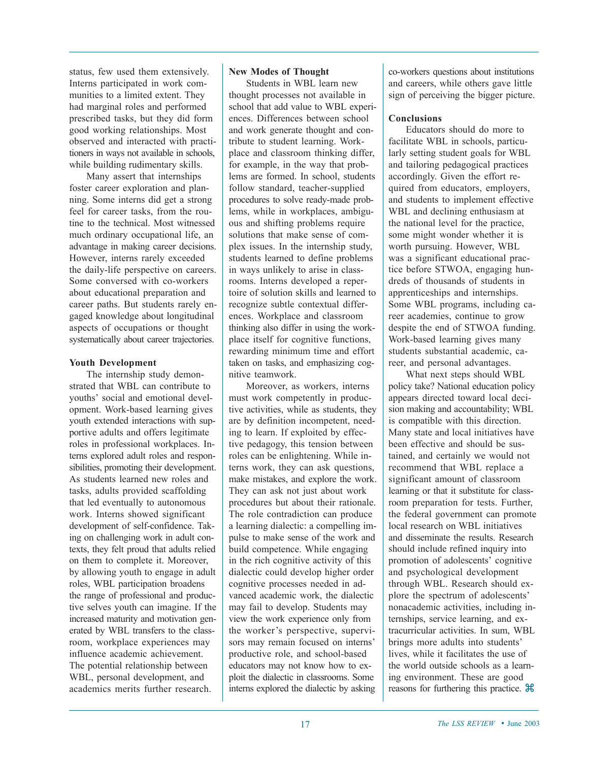status, few used them extensively. Interns participated in work communities to a limited extent. They had marginal roles and performed prescribed tasks, but they did form good working relationships. Most observed and interacted with practitioners in ways not available in schools, while building rudimentary skills.

Many assert that internships foster career exploration and planning. Some interns did get a strong feel for career tasks, from the routine to the technical. Most witnessed much ordinary occupational life, an advantage in making career decisions. However, interns rarely exceeded the daily-life perspective on careers. Some conversed with co-workers about educational preparation and career paths. But students rarely engaged knowledge about longitudinal aspects of occupations or thought systematically about career trajectories.

#### **Youth Development**

The internship study demonstrated that WBL can contribute to youths' social and emotional development. Work-based learning gives youth extended interactions with supportive adults and offers legitimate roles in professional workplaces. Interns explored adult roles and responsibilities, promoting their development. As students learned new roles and tasks, adults provided scaffolding that led eventually to autonomous work. Interns showed significant development of self-confidence. Taking on challenging work in adult contexts, they felt proud that adults relied on them to complete it. Moreover, by allowing youth to engage in adult roles, WBL participation broadens the range of professional and productive selves youth can imagine. If the increased maturity and motivation generated by WBL transfers to the classroom, workplace experiences may influence academic achievement. The potential relationship between WBL, personal development, and academics merits further research.

#### **New Modes of Thought**

Students in WBL learn new thought processes not available in school that add value to WBL experiences. Differences between school and work generate thought and contribute to student learning. Workplace and classroom thinking differ, for example, in the way that problems are formed. In school, students follow standard, teacher-supplied procedures to solve ready-made problems, while in workplaces, ambiguous and shifting problems require solutions that make sense of complex issues. In the internship study, students learned to define problems in ways unlikely to arise in classrooms. Interns developed a repertoire of solution skills and learned to recognize subtle contextual differences. Workplace and classroom thinking also differ in using the workplace itself for cognitive functions, rewarding minimum time and effort taken on tasks, and emphasizing cognitive teamwork.

Moreover, as workers, interns must work competently in productive activities, while as students, they are by definition incompetent, needing to learn. If exploited by effective pedagogy, this tension between roles can be enlightening. While interns work, they can ask questions, make mistakes, and explore the work. They can ask not just about work procedures but about their rationale. The role contradiction can produce a learning dialectic: a compelling impulse to make sense of the work and build competence. While engaging in the rich cognitive activity of this dialectic could develop higher order cognitive processes needed in advanced academic work, the dialectic may fail to develop. Students may view the work experience only from the worker's perspective, supervisors may remain focused on interns' productive role, and school-based educators may not know how to exploit the dialectic in classrooms. Some interns explored the dialectic by asking co-workers questions about institutions and careers, while others gave little sign of perceiving the bigger picture.

#### **Conclusions**

Educators should do more to facilitate WBL in schools, particularly setting student goals for WBL and tailoring pedagogical practices accordingly. Given the effort required from educators, employers, and students to implement effective WBL and declining enthusiasm at the national level for the practice, some might wonder whether it is worth pursuing. However, WBL was a significant educational practice before STWOA, engaging hundreds of thousands of students in apprenticeships and internships. Some WBL programs, including career academies, continue to grow despite the end of STWOA funding. Work-based learning gives many students substantial academic, career, and personal advantages.

What next steps should WBL policy take? National education policy appears directed toward local decision making and accountability; WBL is compatible with this direction. Many state and local initiatives have been effective and should be sustained, and certainly we would not recommend that WBL replace a significant amount of classroom learning or that it substitute for classroom preparation for tests. Further, the federal government can promote local research on WBL initiatives and disseminate the results. Research should include refined inquiry into promotion of adolescents' cognitive and psychological development through WBL. Research should explore the spectrum of adolescents' nonacademic activities, including internships, service learning, and extracurricular activities. In sum, WBL brings more adults into students' lives, while it facilitates the use of the world outside schools as a learning environment. These are good reasons for furthering this practice.  $\mathcal{H}$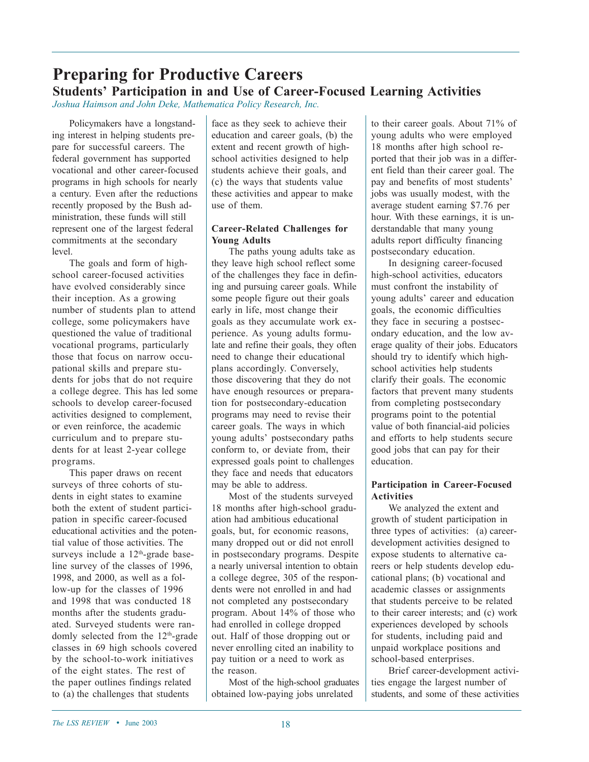## **Preparing for Productive Careers Students' Participation in and Use of Career-Focused Learning Activities**

*Joshua Haimson and John Deke, Mathematica Policy Research, Inc.*

Policymakers have a longstanding interest in helping students prepare for successful careers. The federal government has supported vocational and other career-focused programs in high schools for nearly a century. Even after the reductions recently proposed by the Bush administration, these funds will still represent one of the largest federal commitments at the secondary level.

The goals and form of highschool career-focused activities have evolved considerably since their inception. As a growing number of students plan to attend college, some policymakers have questioned the value of traditional vocational programs, particularly those that focus on narrow occupational skills and prepare students for jobs that do not require a college degree. This has led some schools to develop career-focused activities designed to complement, or even reinforce, the academic curriculum and to prepare students for at least 2-year college programs.

This paper draws on recent surveys of three cohorts of students in eight states to examine both the extent of student participation in specific career-focused educational activities and the potential value of those activities. The surveys include a 12<sup>th</sup>-grade baseline survey of the classes of 1996, 1998, and 2000, as well as a follow-up for the classes of 1996 and 1998 that was conducted 18 months after the students graduated. Surveyed students were randomly selected from the  $12<sup>th</sup>$ -grade classes in 69 high schools covered by the school-to-work initiatives of the eight states. The rest of the paper outlines findings related to (a) the challenges that students

face as they seek to achieve their education and career goals, (b) the extent and recent growth of highschool activities designed to help students achieve their goals, and (c) the ways that students value these activities and appear to make use of them.

#### **Career-Related Challenges for Young Adults**

The paths young adults take as they leave high school reflect some of the challenges they face in defining and pursuing career goals. While some people figure out their goals early in life, most change their goals as they accumulate work experience. As young adults formulate and refine their goals, they often need to change their educational plans accordingly. Conversely, those discovering that they do not have enough resources or preparation for postsecondary-education programs may need to revise their career goals. The ways in which young adults' postsecondary paths conform to, or deviate from, their expressed goals point to challenges they face and needs that educators may be able to address.

Most of the students surveyed 18 months after high-school graduation had ambitious educational goals, but, for economic reasons, many dropped out or did not enroll in postsecondary programs. Despite a nearly universal intention to obtain a college degree, 305 of the respondents were not enrolled in and had not completed any postsecondary program. About 14% of those who had enrolled in college dropped out. Half of those dropping out or never enrolling cited an inability to pay tuition or a need to work as the reason.

Most of the high-school graduates obtained low-paying jobs unrelated

to their career goals. About 71% of young adults who were employed 18 months after high school reported that their job was in a different field than their career goal. The pay and benefits of most students' jobs was usually modest, with the average student earning \$7.76 per hour. With these earnings, it is understandable that many young adults report difficulty financing postsecondary education.

In designing career-focused high-school activities, educators must confront the instability of young adults' career and education goals, the economic difficulties they face in securing a postsecondary education, and the low average quality of their jobs. Educators should try to identify which highschool activities help students clarify their goals. The economic factors that prevent many students from completing postsecondary programs point to the potential value of both financial-aid policies and efforts to help students secure good jobs that can pay for their education.

#### **Participation in Career-Focused Activities**

We analyzed the extent and growth of student participation in three types of activities: (a) careerdevelopment activities designed to expose students to alternative careers or help students develop educational plans; (b) vocational and academic classes or assignments that students perceive to be related to their career interests; and (c) work experiences developed by schools for students, including paid and unpaid workplace positions and school-based enterprises.

Brief career-development activities engage the largest number of students, and some of these activities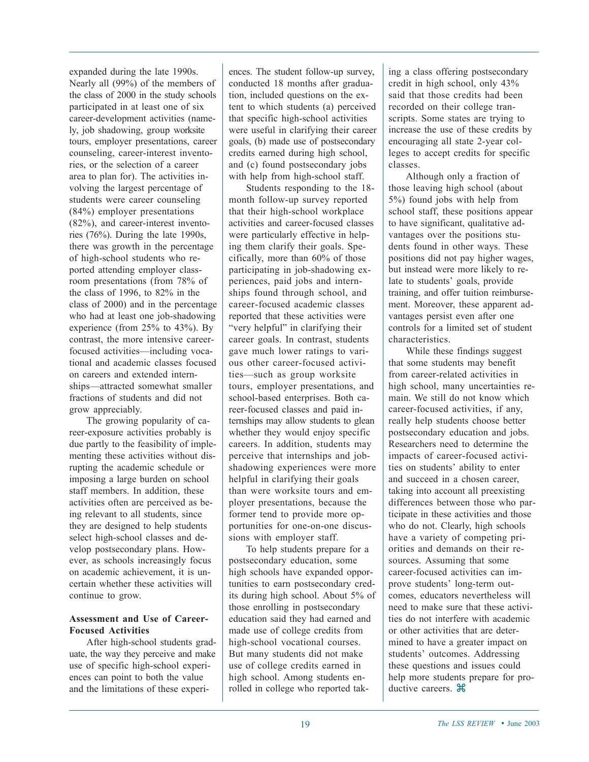expanded during the late 1990s. Nearly all (99%) of the members of the class of 2000 in the study schools participated in at least one of six career-development activities (namely, job shadowing, group worksite tours, employer presentations, career counseling, career-interest inventories, or the selection of a career area to plan for). The activities involving the largest percentage of students were career counseling (84%) employer presentations (82%), and career-interest inventories (76%). During the late 1990s, there was growth in the percentage of high-school students who reported attending employer classroom presentations (from 78% of the class of 1996, to 82% in the class of 2000) and in the percentage who had at least one job-shadowing experience (from 25% to 43%). By contrast, the more intensive careerfocused activities—including vocational and academic classes focused on careers and extended internships—attracted somewhat smaller fractions of students and did not grow appreciably.

The growing popularity of career-exposure activities probably is due partly to the feasibility of implementing these activities without disrupting the academic schedule or imposing a large burden on school staff members. In addition, these activities often are perceived as being relevant to all students, since they are designed to help students select high-school classes and develop postsecondary plans. However, as schools increasingly focus on academic achievement, it is uncertain whether these activities will continue to grow.

#### **Assessment and Use of Career-Focused Activities**

After high-school students graduate, the way they perceive and make use of specific high-school experiences can point to both the value and the limitations of these experiences. The student follow-up survey, conducted 18 months after graduation, included questions on the extent to which students (a) perceived that specific high-school activities were useful in clarifying their career goals, (b) made use of postsecondary credits earned during high school, and (c) found postsecondary jobs with help from high-school staff.

Students responding to the 18 month follow-up survey reported that their high-school workplace activities and career-focused classes were particularly effective in helping them clarify their goals. Specifically, more than 60% of those participating in job-shadowing experiences, paid jobs and internships found through school, and career-focused academic classes reported that these activities were "very helpful" in clarifying their career goals. In contrast, students gave much lower ratings to various other career-focused activities—such as group worksite tours, employer presentations, and school-based enterprises. Both career-focused classes and paid internships may allow students to glean whether they would enjoy specific careers. In addition, students may perceive that internships and jobshadowing experiences were more helpful in clarifying their goals than were worksite tours and employer presentations, because the former tend to provide more opportunities for one-on-one discussions with employer staff.

To help students prepare for a postsecondary education, some high schools have expanded opportunities to earn postsecondary credits during high school. About 5% of those enrolling in postsecondary education said they had earned and made use of college credits from high-school vocational courses. But many students did not make use of college credits earned in high school. Among students enrolled in college who reported taking a class offering postsecondary credit in high school, only 43% said that those credits had been recorded on their college transcripts. Some states are trying to increase the use of these credits by encouraging all state 2-year colleges to accept credits for specific classes.

Although only a fraction of those leaving high school (about 5%) found jobs with help from school staff, these positions appear to have significant, qualitative advantages over the positions students found in other ways. These positions did not pay higher wages, but instead were more likely to relate to students' goals, provide training, and offer tuition reimbursement. Moreover, these apparent advantages persist even after one controls for a limited set of student characteristics.

While these findings suggest that some students may benefit from career-related activities in high school, many uncertainties remain. We still do not know which career-focused activities, if any, really help students choose better postsecondary education and jobs. Researchers need to determine the impacts of career-focused activities on students' ability to enter and succeed in a chosen career, taking into account all preexisting differences between those who participate in these activities and those who do not. Clearly, high schools have a variety of competing priorities and demands on their resources. Assuming that some career-focused activities can improve students' long-term outcomes, educators nevertheless will need to make sure that these activities do not interfere with academic or other activities that are determined to have a greater impact on students' outcomes. Addressing these questions and issues could help more students prepare for productive careers.  $\mathcal{H}$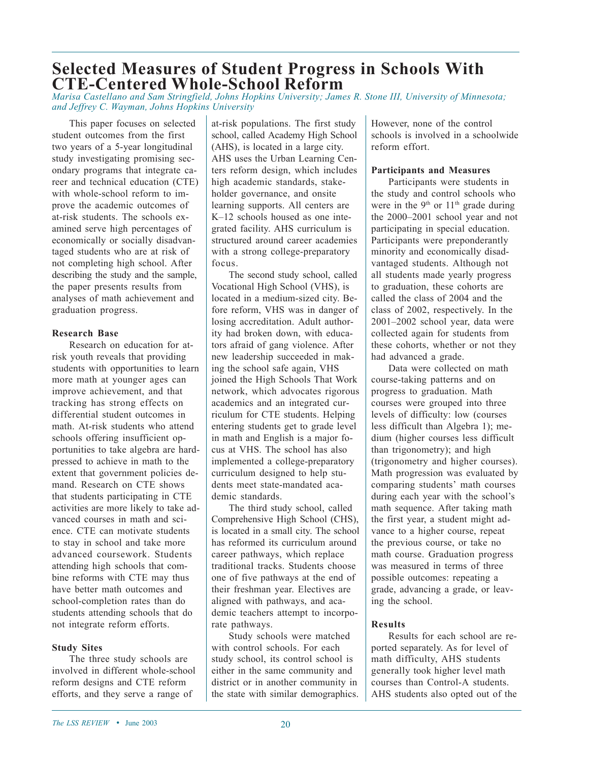## **Selected Measures of Student Progress in Schools With CTE-Centered Whole-School Reform**

*Marisa Castellano and Sam Stringfield, Johns Hopkins University; James R. Stone III, University of Minnesota; and Jeffrey C. Wayman, Johns Hopkins University*

This paper focuses on selected student outcomes from the first two years of a 5-year longitudinal study investigating promising secondary programs that integrate career and technical education (CTE) with whole-school reform to improve the academic outcomes of at-risk students. The schools examined serve high percentages of economically or socially disadvantaged students who are at risk of not completing high school. After describing the study and the sample, the paper presents results from analyses of math achievement and graduation progress.

#### **Research Base**

Research on education for atrisk youth reveals that providing students with opportunities to learn more math at younger ages can improve achievement, and that tracking has strong effects on differential student outcomes in math. At-risk students who attend schools offering insufficient opportunities to take algebra are hardpressed to achieve in math to the extent that government policies demand. Research on CTE shows that students participating in CTE activities are more likely to take advanced courses in math and science. CTE can motivate students to stay in school and take more advanced coursework. Students attending high schools that combine reforms with CTE may thus have better math outcomes and school-completion rates than do students attending schools that do not integrate reform efforts.

#### **Study Sites**

The three study schools are involved in different whole-school reform designs and CTE reform efforts, and they serve a range of

at-risk populations. The first study school, called Academy High School (AHS), is located in a large city. AHS uses the Urban Learning Centers reform design, which includes high academic standards, stakeholder governance, and onsite learning supports. All centers are K–12 schools housed as one integrated facility. AHS curriculum is structured around career academies with a strong college-preparatory focus.

The second study school, called Vocational High School (VHS), is located in a medium-sized city. Before reform, VHS was in danger of losing accreditation. Adult authority had broken down, with educators afraid of gang violence. After new leadership succeeded in making the school safe again, VHS joined the High Schools That Work network, which advocates rigorous academics and an integrated curriculum for CTE students. Helping entering students get to grade level in math and English is a major focus at VHS. The school has also implemented a college-preparatory curriculum designed to help students meet state-mandated academic standards.

The third study school, called Comprehensive High School (CHS), is located in a small city. The school has reformed its curriculum around career pathways, which replace traditional tracks. Students choose one of five pathways at the end of their freshman year. Electives are aligned with pathways, and academic teachers attempt to incorporate pathways.

Study schools were matched with control schools. For each study school, its control school is either in the same community and district or in another community in the state with similar demographics. However, none of the control schools is involved in a schoolwide reform effort.

#### **Participants and Measures**

Participants were students in the study and control schools who were in the 9<sup>th</sup> or  $11<sup>th</sup>$  grade during the 2000–2001 school year and not participating in special education. Participants were preponderantly minority and economically disadvantaged students. Although not all students made yearly progress to graduation, these cohorts are called the class of 2004 and the class of 2002, respectively. In the 2001–2002 school year, data were collected again for students from these cohorts, whether or not they had advanced a grade.

Data were collected on math course-taking patterns and on progress to graduation. Math courses were grouped into three levels of difficulty: low (courses less difficult than Algebra 1); medium (higher courses less difficult than trigonometry); and high (trigonometry and higher courses). Math progression was evaluated by comparing students' math courses during each year with the school's math sequence. After taking math the first year, a student might advance to a higher course, repeat the previous course, or take no math course. Graduation progress was measured in terms of three possible outcomes: repeating a grade, advancing a grade, or leaving the school.

#### **Results**

Results for each school are reported separately. As for level of math difficulty, AHS students generally took higher level math courses than Control-A students. AHS students also opted out of the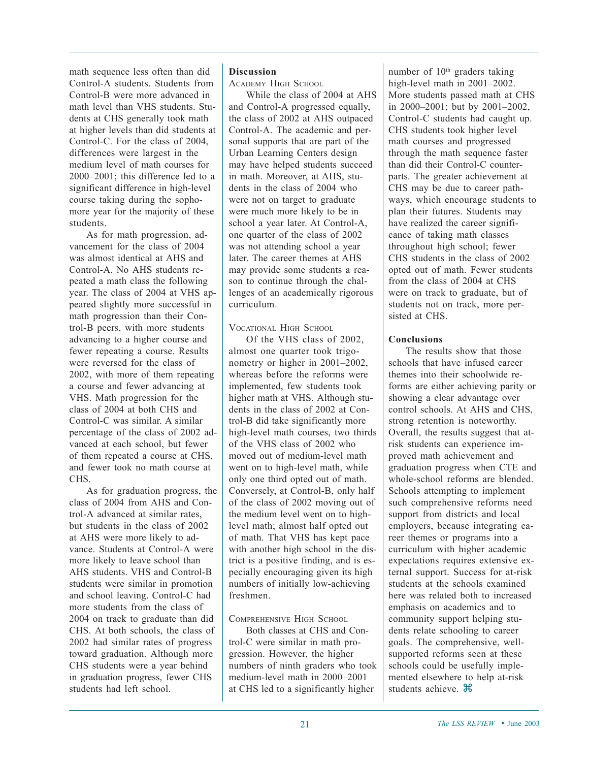math sequence less often than did Control-A students. Students from Control-B were more advanced in math level than VHS students. Students at CHS generally took math at higher levels than did students at Control-C. For the class of 2004, differences were largest in the medium level of math courses for 2000–2001; this difference led to a significant difference in high-level course taking during the sophomore year for the majority of these students.

As for math progression, advancement for the class of 2004 was almost identical at AHS and Control-A. No AHS students repeated a math class the following year. The class of 2004 at VHS appeared slightly more successful in math progression than their Control-B peers, with more students advancing to a higher course and fewer repeating a course. Results were reversed for the class of 2002, with more of them repeating a course and fewer advancing at VHS. Math progression for the class of 2004 at both CHS and Control-C was similar. A similar percentage of the class of 2002 advanced at each school, but fewer of them repeated a course at CHS, and fewer took no math course at CHS.

As for graduation progress, the class of 2004 from AHS and Control-A advanced at similar rates, but students in the class of 2002 at AHS were more likely to advance. Students at Control-A were more likely to leave school than AHS students. VHS and Control-B students were similar in promotion and school leaving. Control-C had more students from the class of 2004 on track to graduate than did CHS. At both schools, the class of 2002 had similar rates of progress toward graduation. Although more CHS students were a year behind in graduation progress, fewer CHS students had left school.

#### **Discussion**

ACADEMY HIGH SCHOOL

While the class of 2004 at AHS and Control-A progressed equally, the class of 2002 at AHS outpaced Control-A. The academic and personal supports that are part of the Urban Learning Centers design may have helped students succeed in math. Moreover, at AHS, students in the class of 2004 who were not on target to graduate were much more likely to be in school a year later. At Control-A, one quarter of the class of 2002 was not attending school a year later. The career themes at AHS may provide some students a reason to continue through the challenges of an academically rigorous curriculum.

VOCATIONAL HIGH SCHOOL

Of the VHS class of 2002, almost one quarter took trigonometry or higher in 2001–2002, whereas before the reforms were implemented, few students took higher math at VHS. Although students in the class of 2002 at Control-B did take significantly more high-level math courses, two thirds of the VHS class of 2002 who moved out of medium-level math went on to high-level math, while only one third opted out of math. Conversely, at Control-B, only half of the class of 2002 moving out of the medium level went on to highlevel math; almost half opted out of math. That VHS has kept pace with another high school in the district is a positive finding, and is especially encouraging given its high numbers of initially low-achieving freshmen.

#### COMPREHENSIVE HIGH SCHOOL

Both classes at CHS and Control-C were similar in math progression. However, the higher numbers of ninth graders who took medium-level math in 2000–2001 at CHS led to a significantly higher

number of 10<sup>th</sup> graders taking high-level math in 2001–2002. More students passed math at CHS in 2000–2001; but by 2001–2002, Control-C students had caught up. CHS students took higher level math courses and progressed through the math sequence faster than did their Control-C counterparts. The greater achievement at CHS may be due to career pathways, which encourage students to plan their futures. Students may have realized the career significance of taking math classes throughout high school; fewer CHS students in the class of 2002 opted out of math. Fewer students from the class of 2004 at CHS were on track to graduate, but of students not on track, more persisted at CHS.

#### **Conclusions**

The results show that those schools that have infused career themes into their schoolwide reforms are either achieving parity or showing a clear advantage over control schools. At AHS and CHS, strong retention is noteworthy. Overall, the results suggest that atrisk students can experience improved math achievement and graduation progress when CTE and whole-school reforms are blended. Schools attempting to implement such comprehensive reforms need support from districts and local employers, because integrating career themes or programs into a curriculum with higher academic expectations requires extensive external support. Success for at-risk students at the schools examined here was related both to increased emphasis on academics and to community support helping students relate schooling to career goals. The comprehensive, wellsupported reforms seen at these schools could be usefully implemented elsewhere to help at-risk students achieve.  $\mathcal{H}$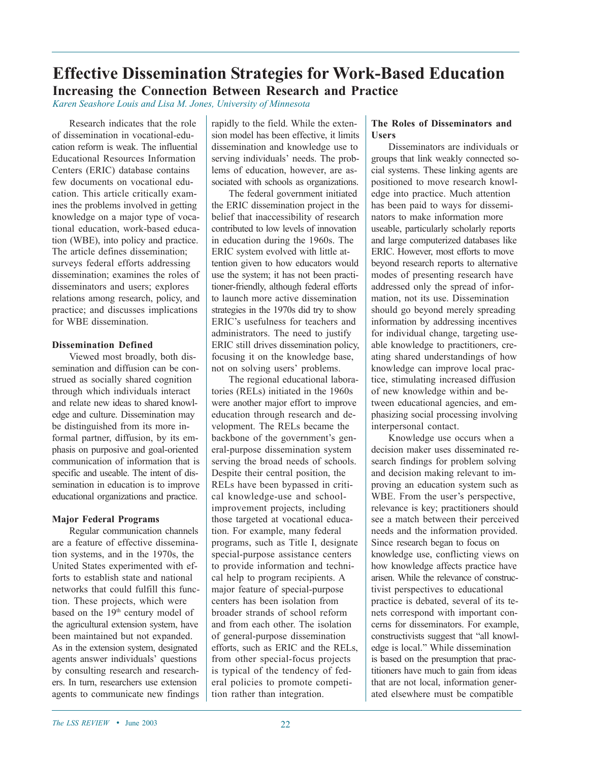## **Effective Dissemination Strategies for Work-Based Education Increasing the Connection Between Research and Practice**

*Karen Seashore Louis and Lisa M. Jones, University of Minnesota*

Research indicates that the role of dissemination in vocational-education reform is weak. The influential Educational Resources Information Centers (ERIC) database contains few documents on vocational education. This article critically examines the problems involved in getting knowledge on a major type of vocational education, work-based education (WBE), into policy and practice. The article defines dissemination; surveys federal efforts addressing dissemination; examines the roles of disseminators and users; explores relations among research, policy, and practice; and discusses implications for WBE dissemination.

#### **Dissemination Defined**

Viewed most broadly, both dissemination and diffusion can be construed as socially shared cognition through which individuals interact and relate new ideas to shared knowledge and culture. Dissemination may be distinguished from its more informal partner, diffusion, by its emphasis on purposive and goal-oriented communication of information that is specific and useable. The intent of dissemination in education is to improve educational organizations and practice.

#### **Major Federal Programs**

Regular communication channels are a feature of effective dissemination systems, and in the 1970s, the United States experimented with efforts to establish state and national networks that could fulfill this function. These projects, which were based on the 19<sup>th</sup> century model of the agricultural extension system, have been maintained but not expanded. As in the extension system, designated agents answer individuals' questions by consulting research and researchers. In turn, researchers use extension agents to communicate new findings rapidly to the field. While the extension model has been effective, it limits dissemination and knowledge use to serving individuals' needs. The problems of education, however, are associated with schools as organizations.

The federal government initiated the ERIC dissemination project in the belief that inaccessibility of research contributed to low levels of innovation in education during the 1960s. The ERIC system evolved with little attention given to how educators would use the system; it has not been practitioner-friendly, although federal efforts to launch more active dissemination strategies in the 1970s did try to show ERIC's usefulness for teachers and administrators. The need to justify ERIC still drives dissemination policy, focusing it on the knowledge base, not on solving users' problems.

The regional educational laboratories (RELs) initiated in the 1960s were another major effort to improve education through research and development. The RELs became the backbone of the government's general-purpose dissemination system serving the broad needs of schools. Despite their central position, the RELs have been bypassed in critical knowledge-use and schoolimprovement projects, including those targeted at vocational education. For example, many federal programs, such as Title I, designate special-purpose assistance centers to provide information and technical help to program recipients. A major feature of special-purpose centers has been isolation from broader strands of school reform and from each other. The isolation of general-purpose dissemination efforts, such as ERIC and the RELs, from other special-focus projects is typical of the tendency of federal policies to promote competition rather than integration.

#### **The Roles of Disseminators and Users**

Disseminators are individuals or groups that link weakly connected social systems. These linking agents are positioned to move research knowledge into practice. Much attention has been paid to ways for disseminators to make information more useable, particularly scholarly reports and large computerized databases like ERIC. However, most efforts to move beyond research reports to alternative modes of presenting research have addressed only the spread of information, not its use. Dissemination should go beyond merely spreading information by addressing incentives for individual change, targeting useable knowledge to practitioners, creating shared understandings of how knowledge can improve local practice, stimulating increased diffusion of new knowledge within and between educational agencies, and emphasizing social processing involving interpersonal contact.

Knowledge use occurs when a decision maker uses disseminated research findings for problem solving and decision making relevant to improving an education system such as WBE. From the user's perspective, relevance is key; practitioners should see a match between their perceived needs and the information provided. Since research began to focus on knowledge use, conflicting views on how knowledge affects practice have arisen. While the relevance of constructivist perspectives to educational practice is debated, several of its tenets correspond with important concerns for disseminators. For example, constructivists suggest that "all knowledge is local." While dissemination is based on the presumption that practitioners have much to gain from ideas that are not local, information generated elsewhere must be compatible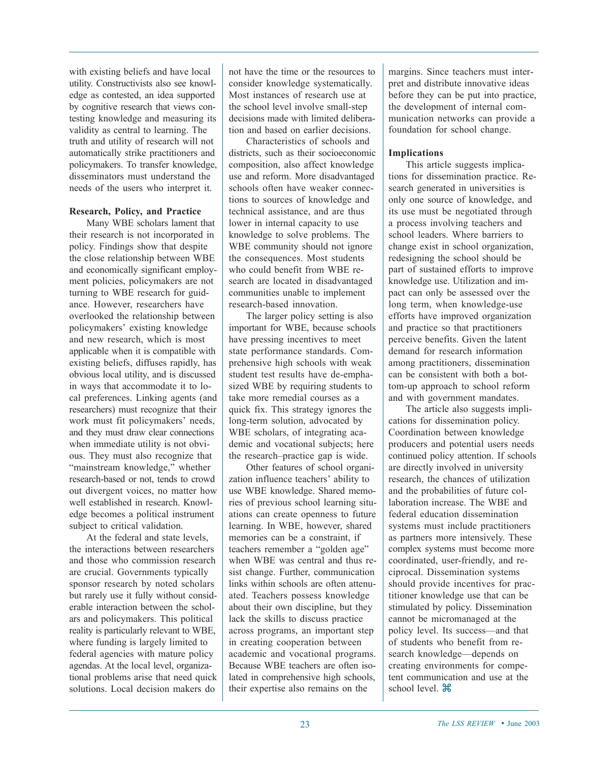with existing beliefs and have local utility. Constructivists also see knowledge as contested, an idea supported by cognitive research that views contesting knowledge and measuring its validity as central to learning. The truth and utility of research will not automatically strike practitioners and policymakers. To transfer knowledge, disseminators must understand the needs of the users who interpret it.

#### **Research, Policy, and Practice**

Many WBE scholars lament that their research is not incorporated in policy. Findings show that despite the close relationship between WBE and economically significant employment policies, policymakers are not turning to WBE research for guidance. However, researchers have overlooked the relationship between policymakers' existing knowledge and new research, which is most applicable when it is compatible with existing beliefs, diffuses rapidly, has obvious local utility, and is discussed in ways that accommodate it to local preferences. Linking agents (and researchers) must recognize that their work must fit policymakers' needs, and they must draw clear connections when immediate utility is not obvious. They must also recognize that "mainstream knowledge," whether research-based or not, tends to crowd out divergent voices, no matter how well established in research. Knowledge becomes a political instrument subject to critical validation.

At the federal and state levels, the interactions between researchers and those who commission research are crucial. Governments typically sponsor research by noted scholars but rarely use it fully without considerable interaction between the scholars and policymakers. This political reality is particularly relevant to WBE, where funding is largely limited to federal agencies with mature policy agendas. At the local level, organizational problems arise that need quick solutions. Local decision makers do

not have the time or the resources to consider knowledge systematically. Most instances of research use at the school level involve small-step decisions made with limited deliberation and based on earlier decisions.

Characteristics of schools and districts, such as their socioeconomic composition, also affect knowledge use and reform. More disadvantaged schools often have weaker connections to sources of knowledge and technical assistance, and are thus lower in internal capacity to use knowledge to solve problems. The WBE community should not ignore the consequences. Most students who could benefit from WBE research are located in disadvantaged communities unable to implement research-based innovation.

The larger policy setting is also important for WBE, because schools have pressing incentives to meet state performance standards. Comprehensive high schools with weak student test results have de-emphasized WBE by requiring students to take more remedial courses as a quick fix. This strategy ignores the long-term solution, advocated by WBE scholars, of integrating academic and vocational subjects; here the research–practice gap is wide.

Other features of school organization influence teachers' ability to use WBE knowledge. Shared memories of previous school learning situations can create openness to future learning. In WBE, however, shared memories can be a constraint, if teachers remember a "golden age" when WBE was central and thus resist change. Further, communication links within schools are often attenuated. Teachers possess knowledge about their own discipline, but they lack the skills to discuss practice across programs, an important step in creating cooperation between academic and vocational programs. Because WBE teachers are often isolated in comprehensive high schools, their expertise also remains on the

margins. Since teachers must interpret and distribute innovative ideas before they can be put into practice, the development of internal communication networks can provide a foundation for school change.

#### **Implications**

This article suggests implications for dissemination practice. Research generated in universities is only one source of knowledge, and its use must be negotiated through a process involving teachers and school leaders. Where barriers to change exist in school organization, redesigning the school should be part of sustained efforts to improve knowledge use. Utilization and impact can only be assessed over the long term, when knowledge-use efforts have improved organization and practice so that practitioners perceive benefits. Given the latent demand for research information among practitioners, dissemination can be consistent with both a bottom-up approach to school reform and with government mandates.

The article also suggests implications for dissemination policy. Coordination between knowledge producers and potential users needs continued policy attention. If schools are directly involved in university research, the chances of utilization and the probabilities of future collaboration increase. The WBE and federal education dissemination systems must include practitioners as partners more intensively. These complex systems must become more coordinated, user-friendly, and reciprocal. Dissemination systems should provide incentives for practitioner knowledge use that can be stimulated by policy. Dissemination cannot be micromanaged at the policy level. Its success—and that of students who benefit from research knowledge—depends on creating environments for competent communication and use at the school level.  $\mathcal{H}$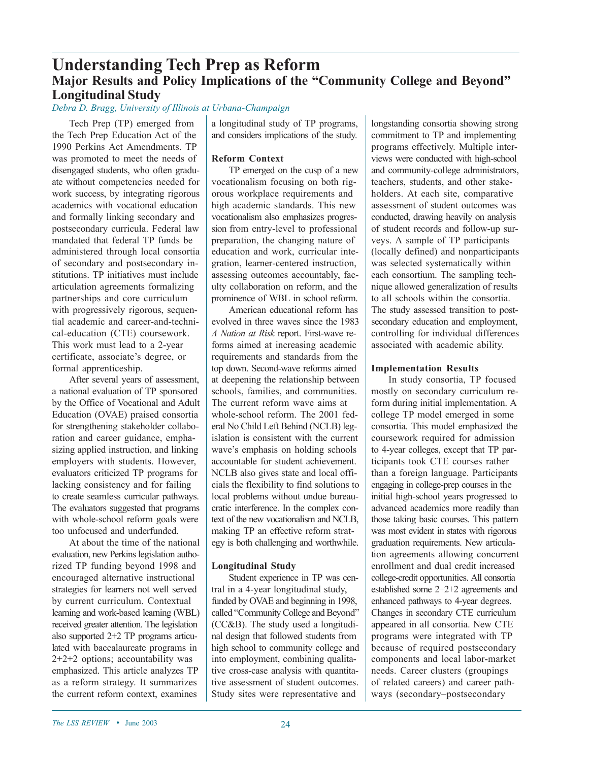### **Understanding Tech Prep as Reform Major Results and Policy Implications of the "Community College and Beyond" Longitudinal Study**

*Debra D. Bragg, University of Illinois at Urbana-Champaign*

Tech Prep (TP) emerged from the Tech Prep Education Act of the 1990 Perkins Act Amendments. TP was promoted to meet the needs of disengaged students, who often graduate without competencies needed for work success, by integrating rigorous academics with vocational education and formally linking secondary and postsecondary curricula. Federal law mandated that federal TP funds be administered through local consortia of secondary and postsecondary institutions. TP initiatives must include articulation agreements formalizing partnerships and core curriculum with progressively rigorous, sequential academic and career-and-technical-education (CTE) coursework. This work must lead to a 2-year certificate, associate's degree, or formal apprenticeship.

After several years of assessment, a national evaluation of TP sponsored by the Office of Vocational and Adult Education (OVAE) praised consortia for strengthening stakeholder collaboration and career guidance, emphasizing applied instruction, and linking employers with students. However, evaluators criticized TP programs for lacking consistency and for failing to create seamless curricular pathways. The evaluators suggested that programs with whole-school reform goals were too unfocused and underfunded.

At about the time of the national evaluation, new Perkins legislation authorized TP funding beyond 1998 and encouraged alternative instructional strategies for learners not well served by current curriculum. Contextual learning and work-based learning (WBL) received greater attention. The legislation also supported 2+2 TP programs articulated with baccalaureate programs in 2+2+2 options; accountability was emphasized. This article analyzes TP as a reform strategy. It summarizes the current reform context, examines

a longitudinal study of TP programs, and considers implications of the study.

#### **Reform Context**

TP emerged on the cusp of a new vocationalism focusing on both rigorous workplace requirements and high academic standards. This new vocationalism also emphasizes progression from entry-level to professional preparation, the changing nature of education and work, curricular integration, learner-centered instruction, assessing outcomes accountably, faculty collaboration on reform, and the prominence of WBL in school reform.

American educational reform has evolved in three waves since the 1983 *A Nation at Risk* report. First-wave reforms aimed at increasing academic requirements and standards from the top down. Second-wave reforms aimed at deepening the relationship between schools, families, and communities. The current reform wave aims at whole-school reform. The 2001 federal No Child Left Behind (NCLB) legislation is consistent with the current wave's emphasis on holding schools accountable for student achievement. NCLB also gives state and local officials the flexibility to find solutions to local problems without undue bureaucratic interference. In the complex context of the new vocationalism and NCLB, making TP an effective reform strategy is both challenging and worthwhile.

#### **Longitudinal Study**

Student experience in TP was central in a 4-year longitudinal study, funded by OVAE and beginning in 1998, called "Community College and Beyond" (CC&B). The study used a longitudinal design that followed students from high school to community college and into employment, combining qualitative cross-case analysis with quantitative assessment of student outcomes. Study sites were representative and

longstanding consortia showing strong commitment to TP and implementing programs effectively. Multiple interviews were conducted with high-school and community-college administrators, teachers, students, and other stakeholders. At each site, comparative assessment of student outcomes was conducted, drawing heavily on analysis of student records and follow-up surveys. A sample of TP participants (locally defined) and nonparticipants was selected systematically within each consortium. The sampling technique allowed generalization of results to all schools within the consortia. The study assessed transition to postsecondary education and employment, controlling for individual differences associated with academic ability.

#### **Implementation Results**

In study consortia, TP focused mostly on secondary curriculum reform during initial implementation. A college TP model emerged in some consortia. This model emphasized the coursework required for admission to 4-year colleges, except that TP participants took CTE courses rather than a foreign language. Participants engaging in college-prep courses in the initial high-school years progressed to advanced academics more readily than those taking basic courses. This pattern was most evident in states with rigorous graduation requirements. New articulation agreements allowing concurrent enrollment and dual credit increased college-credit opportunities. All consortia established some 2+2+2 agreements and enhanced pathways to 4-year degrees. Changes in secondary CTE curriculum appeared in all consortia. New CTE programs were integrated with TP because of required postsecondary components and local labor-market needs. Career clusters (groupings of related careers) and career pathways (secondary–postsecondary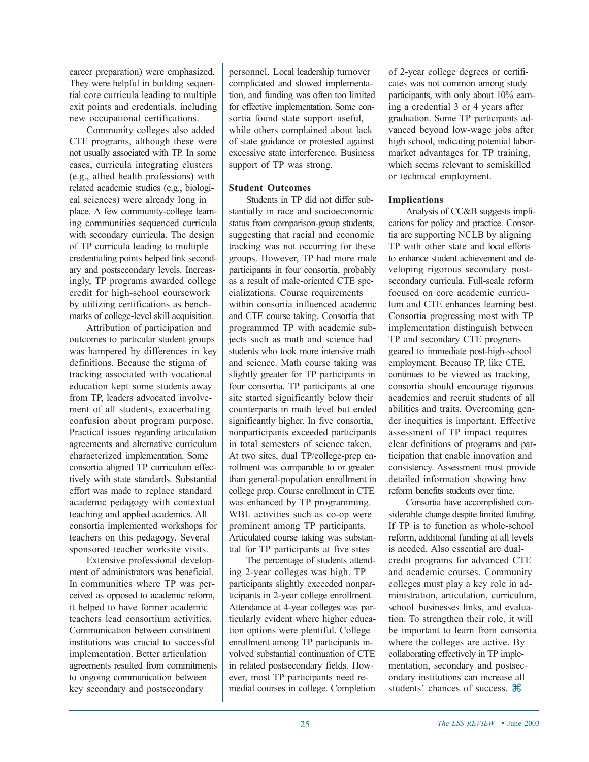career preparation) were emphasized. They were helpful in building sequential core curricula leading to multiple exit points and credentials, including new occupational certifications.

Community colleges also added CTE programs, although these were not usually associated with TP. In some cases, curricula integrating clusters (e.g., allied health professions) with related academic studies (e.g., biological sciences) were already long in place. A few community-college learning communities sequenced curricula with secondary curricula. The design of TP curricula leading to multiple credentialing points helped link secondary and postsecondary levels. Increasingly, TP programs awarded college credit for high-school coursework by utilizing certifications as benchmarks of college-level skill acquisition.

Attribution of participation and outcomes to particular student groups was hampered by differences in key definitions. Because the stigma of tracking associated with vocational education kept some students away from TP, leaders advocated involvement of all students, exacerbating confusion about program purpose. Practical issues regarding articulation agreements and alternative curriculum characterized implementation. Some consortia aligned TP curriculum effectively with state standards. Substantial effort was made to replace standard academic pedagogy with contextual teaching and applied academics. All consortia implemented workshops for teachers on this pedagogy. Several sponsored teacher worksite visits.

Extensive professional development of administrators was beneficial. In communities where TP was perceived as opposed to academic reform, it helped to have former academic teachers lead consortium activities. Communication between constituent institutions was crucial to successful implementation. Better articulation agreements resulted from commitments to ongoing communication between key secondary and postsecondary

personnel. Local leadership turnover complicated and slowed implementation, and funding was often too limited for effective implementation. Some consortia found state support useful, while others complained about lack of state guidance or protested against excessive state interference. Business support of TP was strong.

#### **Student Outcomes**

Students in TP did not differ substantially in race and socioeconomic status from comparison-group students, suggesting that racial and economic tracking was not occurring for these groups. However, TP had more male participants in four consortia, probably as a result of male-oriented CTE specializations. Course requirements within consortia influenced academic and CTE course taking. Consortia that programmed TP with academic subjects such as math and science had students who took more intensive math and science. Math course taking was slightly greater for TP participants in four consortia. TP participants at one site started significantly below their counterparts in math level but ended significantly higher. In five consortia, nonparticipants exceeded participants in total semesters of science taken. At two sites, dual TP/college-prep enrollment was comparable to or greater than general-population enrollment in college prep. Course enrollment in CTE was enhanced by TP programming. WBL activities such as co-op were prominent among TP participants. Articulated course taking was substantial for TP participants at five sites

The percentage of students attending 2-year colleges was high. TP participants slightly exceeded nonparticipants in 2-year college enrollment. Attendance at 4-year colleges was particularly evident where higher education options were plentiful. College enrollment among TP participants involved substantial continuation of CTE in related postsecondary fields. However, most TP participants need remedial courses in college. Completion of 2-year college degrees or certificates was not common among study participants, with only about 10% earning a credential 3 or 4 years after graduation. Some TP participants advanced beyond low-wage jobs after high school, indicating potential labormarket advantages for TP training, which seems relevant to semiskilled or technical employment.

#### **Implications**

Analysis of CC&B suggests implications for policy and practice. Consortia are supporting NCLB by aligning TP with other state and local efforts to enhance student achievement and developing rigorous secondary–postsecondary curricula. Full-scale reform focused on core academic curriculum and CTE enhances learning best. Consortia progressing most with TP implementation distinguish between TP and secondary CTE programs geared to immediate post-high-school employment. Because TP, like CTE, continues to be viewed as tracking, consortia should encourage rigorous academics and recruit students of all abilities and traits. Overcoming gender inequities is important. Effective assessment of TP impact requires clear definitions of programs and participation that enable innovation and consistency. Assessment must provide detailed information showing how reform benefits students over time.

Consortia have accomplished considerable change despite limited funding. If TP is to function as whole-school reform, additional funding at all levels is needed. Also essential are dualcredit programs for advanced CTE and academic courses. Community colleges must play a key role in administration, articulation, curriculum, school–businesses links, and evaluation. To strengthen their role, it will be important to learn from consortia where the colleges are active. By collaborating effectively in TP implementation, secondary and postsecondary institutions can increase all students' chances of success.  $\mathcal{H}$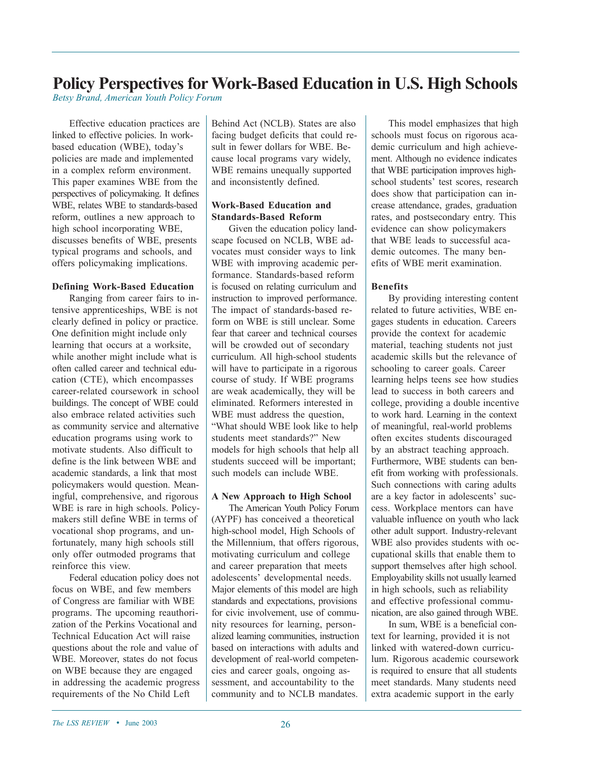## **Policy Perspectives for Work-Based Education in U.S. High Schools**

*Betsy Brand, American Youth Policy Forum*

Effective education practices are linked to effective policies. In workbased education (WBE), today's policies are made and implemented in a complex reform environment. This paper examines WBE from the perspectives of policymaking. It defines WBE, relates WBE to standards-based reform, outlines a new approach to high school incorporating WBE, discusses benefits of WBE, presents typical programs and schools, and offers policymaking implications.

#### **Defining Work-Based Education**

Ranging from career fairs to intensive apprenticeships, WBE is not clearly defined in policy or practice. One definition might include only learning that occurs at a worksite, while another might include what is often called career and technical education (CTE), which encompasses career-related coursework in school buildings. The concept of WBE could also embrace related activities such as community service and alternative education programs using work to motivate students. Also difficult to define is the link between WBE and academic standards, a link that most policymakers would question. Meaningful, comprehensive, and rigorous WBE is rare in high schools. Policymakers still define WBE in terms of vocational shop programs, and unfortunately, many high schools still only offer outmoded programs that reinforce this view.

Federal education policy does not focus on WBE, and few members of Congress are familiar with WBE programs. The upcoming reauthorization of the Perkins Vocational and Technical Education Act will raise questions about the role and value of WBE. Moreover, states do not focus on WBE because they are engaged in addressing the academic progress requirements of the No Child Left

Behind Act (NCLB). States are also facing budget deficits that could result in fewer dollars for WBE. Because local programs vary widely, WBE remains unequally supported and inconsistently defined.

#### **Work-Based Education and Standards-Based Reform**

Given the education policy landscape focused on NCLB, WBE advocates must consider ways to link WBE with improving academic performance. Standards-based reform is focused on relating curriculum and instruction to improved performance. The impact of standards-based reform on WBE is still unclear. Some fear that career and technical courses will be crowded out of secondary curriculum. All high-school students will have to participate in a rigorous course of study. If WBE programs are weak academically, they will be eliminated. Reformers interested in WBE must address the question, "What should WBE look like to help students meet standards?" New models for high schools that help all students succeed will be important; such models can include WBE.

#### **A New Approach to High School**

The American Youth Policy Forum (AYPF) has conceived a theoretical high-school model, High Schools of the Millennium, that offers rigorous, motivating curriculum and college and career preparation that meets adolescents' developmental needs. Major elements of this model are high standards and expectations, provisions for civic involvement, use of community resources for learning, personalized learning communities, instruction based on interactions with adults and development of real-world competencies and career goals, ongoing assessment, and accountability to the community and to NCLB mandates.

This model emphasizes that high schools must focus on rigorous academic curriculum and high achievement. Although no evidence indicates that WBE participation improves highschool students' test scores, research does show that participation can increase attendance, grades, graduation rates, and postsecondary entry. This evidence can show policymakers that WBE leads to successful academic outcomes. The many benefits of WBE merit examination.

#### **Benefits**

By providing interesting content related to future activities, WBE engages students in education. Careers provide the context for academic material, teaching students not just academic skills but the relevance of schooling to career goals. Career learning helps teens see how studies lead to success in both careers and college, providing a double incentive to work hard. Learning in the context of meaningful, real-world problems often excites students discouraged by an abstract teaching approach. Furthermore, WBE students can benefit from working with professionals. Such connections with caring adults are a key factor in adolescents' success. Workplace mentors can have valuable influence on youth who lack other adult support. Industry-relevant WBE also provides students with occupational skills that enable them to support themselves after high school. Employability skills not usually learned in high schools, such as reliability and effective professional communication, are also gained through WBE.

In sum, WBE is a beneficial context for learning, provided it is not linked with watered-down curriculum. Rigorous academic coursework is required to ensure that all students meet standards. Many students need extra academic support in the early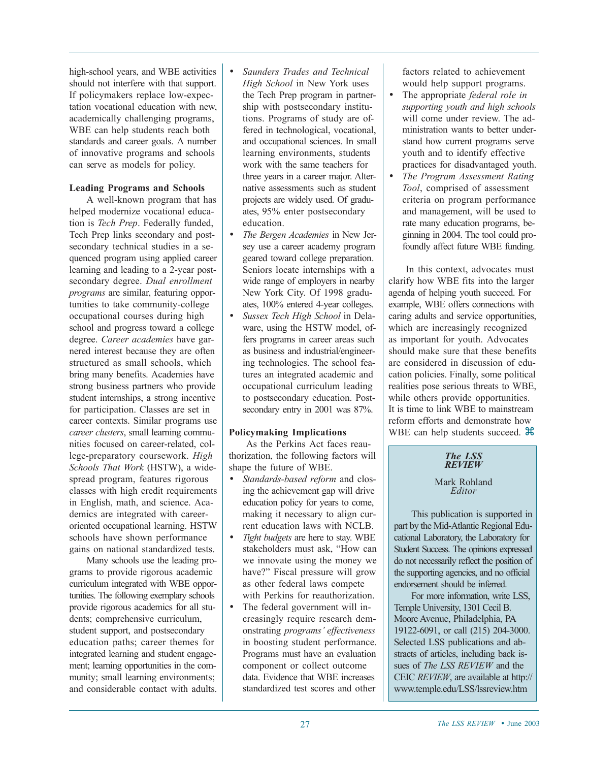high-school years, and WBE activities should not interfere with that support. If policymakers replace low-expectation vocational education with new, academically challenging programs, WBE can help students reach both standards and career goals. A number of innovative programs and schools can serve as models for policy.

#### **Leading Programs and Schools**

A well-known program that has helped modernize vocational education is *Tech Prep*. Federally funded, Tech Prep links secondary and postsecondary technical studies in a sequenced program using applied career learning and leading to a 2-year postsecondary degree. *Dual enrollment programs* are similar, featuring opportunities to take community-college occupational courses during high school and progress toward a college degree. *Career academies* have garnered interest because they are often structured as small schools, which bring many benefits. Academies have strong business partners who provide student internships, a strong incentive for participation. Classes are set in career contexts. Similar programs use *career clusters*, small learning communities focused on career-related, college-preparatory coursework. *High Schools That Work* (HSTW), a widespread program, features rigorous classes with high credit requirements in English, math, and science. Academics are integrated with careeroriented occupational learning. HSTW schools have shown performance gains on national standardized tests.

Many schools use the leading programs to provide rigorous academic curriculum integrated with WBE opportunities. The following exemplary schools provide rigorous academics for all students; comprehensive curriculum, student support, and postsecondary education paths; career themes for integrated learning and student engagement; learning opportunities in the community; small learning environments; and considerable contact with adults.

- *Saunders Trades and Technical High School* in New York uses the Tech Prep program in partnership with postsecondary institutions. Programs of study are offered in technological, vocational, and occupational sciences. In small learning environments, students work with the same teachers for three years in a career major. Alternative assessments such as student projects are widely used. Of graduates, 95% enter postsecondary education.
- *The Bergen Academies* in New Jersey use a career academy program geared toward college preparation. Seniors locate internships with a wide range of employers in nearby New York City. Of 1998 graduates, 100% entered 4-year colleges.
- *Sussex Tech High School* in Delaware, using the HSTW model, offers programs in career areas such as business and industrial/engineering technologies. The school features an integrated academic and occupational curriculum leading to postsecondary education. Postsecondary entry in 2001 was 87%.

#### **Policymaking Implications**

As the Perkins Act faces reauthorization, the following factors will shape the future of WBE.

- *Standards-based reform* and closing the achievement gap will drive education policy for years to come, making it necessary to align current education laws with NCLB.
- *Tight budgets* are here to stay. WBE stakeholders must ask, "How can we innovate using the money we have?" Fiscal pressure will grow as other federal laws compete with Perkins for reauthorization.
- The federal government will increasingly require research demonstrating *programs' effectiveness* in boosting student performance. Programs must have an evaluation component or collect outcome data. Evidence that WBE increases standardized test scores and other

factors related to achievement would help support programs.

- The appropriate *federal role in supporting youth and high schools* will come under review. The administration wants to better understand how current programs serve youth and to identify effective practices for disadvantaged youth.
- *The Program Assessment Rating Tool*, comprised of assessment criteria on program performance and management, will be used to rate many education programs, beginning in 2004. The tool could profoundly affect future WBE funding.

In this context, advocates must clarify how WBE fits into the larger agenda of helping youth succeed. For example, WBE offers connections with caring adults and service opportunities, which are increasingly recognized as important for youth. Advocates should make sure that these benefits are considered in discussion of education policies. Finally, some political realities pose serious threats to WBE, while others provide opportunities. It is time to link WBE to mainstream reform efforts and demonstrate how WBE can help students succeed.  $\mathcal{H}$ 

### *The LSS REVIEW*

Mark Rohland *Editor*

This publication is supported in part by the Mid-Atlantic Regional Educational Laboratory, the Laboratory for Student Success. The opinions expressed do not necessarily reflect the position of the supporting agencies, and no official endorsement should be inferred.

For more information, write LSS, Temple University, 1301 Cecil B. Moore Avenue, Philadelphia, PA 19122-6091, or call (215) 204-3000. Selected LSS publications and abstracts of articles, including back issues of *The LSS REVIEW* and the CEIC *REVIEW*, are available at http:// www.temple.edu/LSS/lssreview.htm